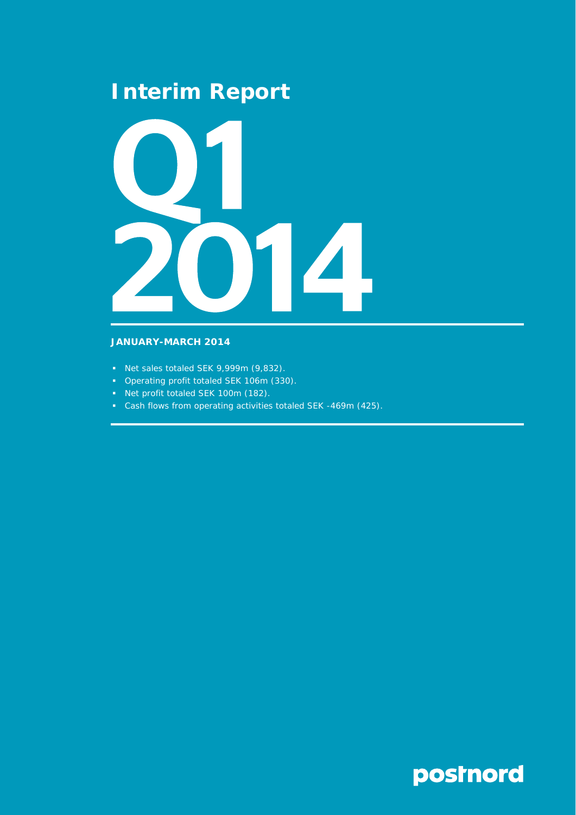## **Interim Report**



## **JANUARY-MARCH 2014**

- Net sales totaled SEK 9,999m (9,832).
- Operating profit totaled SEK 106m (330).
- Net profit totaled SEK 100m (182).
- Cash flows from operating activities totaled SEK -469m (425).

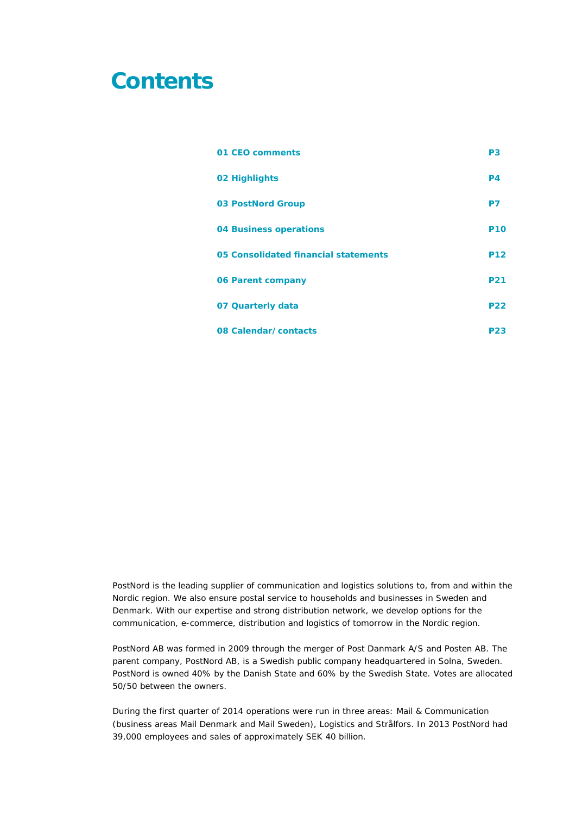## **Contents**

| 01 CEO comments                      | P <sub>3</sub> |
|--------------------------------------|----------------|
| 02 Highlights                        | P <sub>4</sub> |
| <b>03 PostNord Group</b>             | P7             |
| 04 Business operations               | <b>P10</b>     |
| 05 Consolidated financial statements | <b>P12</b>     |
| 06 Parent company                    | <b>P21</b>     |
| 07 Quarterly data                    | <b>P22</b>     |
| 08 Calendar/contacts                 | <b>P23</b>     |

PostNord is the leading supplier of communication and logistics solutions to, from and within the Nordic region. We also ensure postal service to households and businesses in Sweden and Denmark. With our expertise and strong distribution network, we develop options for the communication, e-commerce, distribution and logistics of tomorrow in the Nordic region.

PostNord AB was formed in 2009 through the merger of Post Danmark A/S and Posten AB. The parent company, PostNord AB, is a Swedish public company headquartered in Solna, Sweden. PostNord is owned 40% by the Danish State and 60% by the Swedish State. Votes are allocated 50/50 between the owners.

During the first quarter of 2014 operations were run in three areas: Mail & Communication (business areas Mail Denmark and Mail Sweden), Logistics and Strålfors. In 2013 PostNord had 39,000 employees and sales of approximately SEK 40 billion.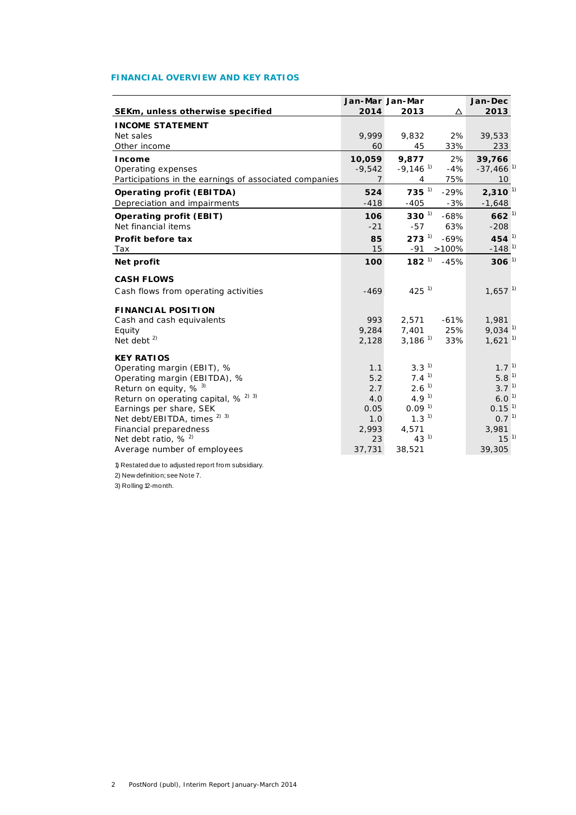## **FINANCIAL OVERVIEW AND KEY RATIOS**

|                                                            | Jan-Mar Jan-Mar |                        |        | Jan-Dec                 |  |
|------------------------------------------------------------|-----------------|------------------------|--------|-------------------------|--|
| SEKm, unless otherwise specified                           | 2014            | 2013                   | Δ      | 2013                    |  |
| <b>INCOME STATEMENT</b>                                    |                 |                        |        |                         |  |
| Net sales                                                  | 9.999           | 9,832                  | 2%     | 39,533                  |  |
| Other income                                               | 60              | 45                     | 33%    | 233                     |  |
| Income                                                     | 10,059          | 9,877                  | 2%     | 39,766                  |  |
| Operating expenses                                         | $-9,542$        | $-9,146$ <sup>1)</sup> | $-4%$  | $-37,466$ <sup>1)</sup> |  |
| Participations in the earnings of associated companies     | $\overline{7}$  | 4                      | 75%    | 10 <sup>°</sup>         |  |
| <b>Operating profit (EBITDA)</b>                           | 524             | $735^{1}$              | $-29%$ | $2,310^{11}$            |  |
| Depreciation and impairments                               | $-418$          | $-405$                 | $-3%$  | $-1,648$                |  |
| <b>Operating profit (EBIT)</b>                             | 106             | $330^{1}$              | $-68%$ | $662^{11}$              |  |
| Net financial items                                        | $-21$           | $-57$                  | 63%    | $-208$                  |  |
| Profit before tax                                          | 85              | $273^{\frac{1}{2}}$    | $-69%$ | 454 $^{1}$              |  |
| Tax                                                        | 15              | $-91$                  | >100%  | $-148$ <sup>1)</sup>    |  |
| Net profit                                                 | 100             | $182^{11}$             | $-45%$ | $306^{11}$              |  |
| <b>CASH FLOWS</b>                                          |                 |                        |        |                         |  |
| Cash flows from operating activities                       | $-469$          | $425^{11}$             |        | $1,657$ <sup>1)</sup>   |  |
| <b>FINANCIAL POSITION</b>                                  |                 |                        |        |                         |  |
| Cash and cash equivalents                                  | 993             | 2,571                  | $-61%$ | 1,981                   |  |
| Equity                                                     | 9,284           | 7,401                  | 25%    | $9,034$ <sup>1)</sup>   |  |
| Net debt $^{2)}$                                           | 2,128           | $3,186^{1}$            | 33%    | $1,621$ <sup>1)</sup>   |  |
| <b>KEY RATIOS</b>                                          |                 |                        |        |                         |  |
| Operating margin (EBIT), %                                 | 1.1             | 3.3 <sup>1</sup>       |        | 1.7 <sup>1</sup>        |  |
| Operating margin (EBITDA), %                               | 5.2             | $7.4^{1}$              |        | 5.8 <sup>1</sup>        |  |
| Return on equity, $%$ <sup>3)</sup>                        | 2.7             | 2.6 <sup>1</sup>       |        | $3.7^{1}$               |  |
| Return on operating capital, % <sup>2)</sup> <sup>3)</sup> | 4.0             | 4.9 <sup>1</sup>       |        | 6.0 <sup>1</sup>        |  |
| Earnings per share, SEK                                    | 0.05            | 0.09 <sup>1</sup>      |        | 0.15 <sup>1</sup>       |  |
| Net debt/EBITDA, times <sup>2) 3)</sup>                    | 1.0             | 1.3 <sup>1</sup>       |        | $0.7^{1}$               |  |
| Financial preparedness                                     | 2,993           | 4,571                  |        | 3,981                   |  |
| Net debt ratio, $% ^{2}$                                   | 23              | $43^{1}$               |        | 15 <sup>1</sup>         |  |
| Average number of employees                                | 37,731          | 38,521                 |        | 39,305                  |  |

1) Restated due to adjusted report from subsidiary. 2) New definition; see Note 7. 3) Rolling 12-month.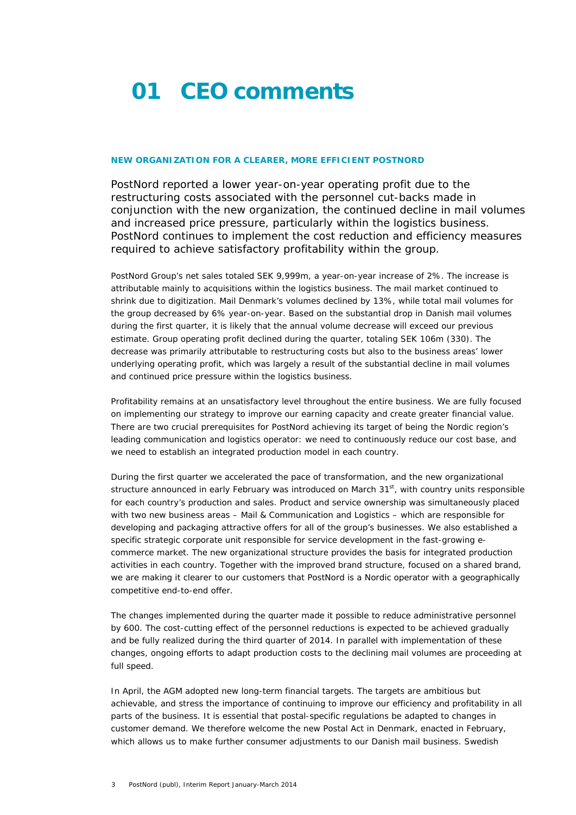## **01 CEO comments**

## **NEW ORGANIZATION FOR A CLEARER, MORE EFFICIENT POSTNORD**

PostNord reported a lower year-on-year operating profit due to the restructuring costs associated with the personnel cut-backs made in conjunction with the new organization, the continued decline in mail volumes and increased price pressure, particularly within the logistics business. PostNord continues to implement the cost reduction and efficiency measures required to achieve satisfactory profitability within the group.

PostNord Group's net sales totaled SEK 9,999m, a year-on-year increase of 2%. The increase is attributable mainly to acquisitions within the logistics business. The mail market continued to shrink due to digitization. Mail Denmark's volumes declined by 13%, while total mail volumes for the group decreased by 6% year-on-year. Based on the substantial drop in Danish mail volumes during the first quarter, it is likely that the annual volume decrease will exceed our previous estimate. Group operating profit declined during the quarter, totaling SEK 106m (330). The decrease was primarily attributable to restructuring costs but also to the business areas' lower underlying operating profit, which was largely a result of the substantial decline in mail volumes and continued price pressure within the logistics business.

Profitability remains at an unsatisfactory level throughout the entire business. We are fully focused on implementing our strategy to improve our earning capacity and create greater financial value. There are two crucial prerequisites for PostNord achieving its target of being the Nordic region's leading communication and logistics operator: we need to continuously reduce our cost base, and we need to establish an integrated production model in each country.

During the first quarter we accelerated the pace of transformation, and the new organizational structure announced in early February was introduced on March 31<sup>st</sup>, with country units responsible for each country's production and sales. Product and service ownership was simultaneously placed with two new business areas – Mail & Communication and Logistics – which are responsible for developing and packaging attractive offers for all of the group's businesses. We also established a specific strategic corporate unit responsible for service development in the fast-growing ecommerce market. The new organizational structure provides the basis for integrated production activities in each country. Together with the improved brand structure, focused on a shared brand, we are making it clearer to our customers that PostNord is a Nordic operator with a geographically competitive end-to-end offer.

The changes implemented during the quarter made it possible to reduce administrative personnel by 600. The cost-cutting effect of the personnel reductions is expected to be achieved gradually and be fully realized during the third quarter of 2014. In parallel with implementation of these changes, ongoing efforts to adapt production costs to the declining mail volumes are proceeding at full speed.

In April, the AGM adopted new long-term financial targets. The targets are ambitious but achievable, and stress the importance of continuing to improve our efficiency and profitability in all parts of the business. It is essential that postal-specific regulations be adapted to changes in customer demand. We therefore welcome the new Postal Act in Denmark, enacted in February, which allows us to make further consumer adjustments to our Danish mail business. Swedish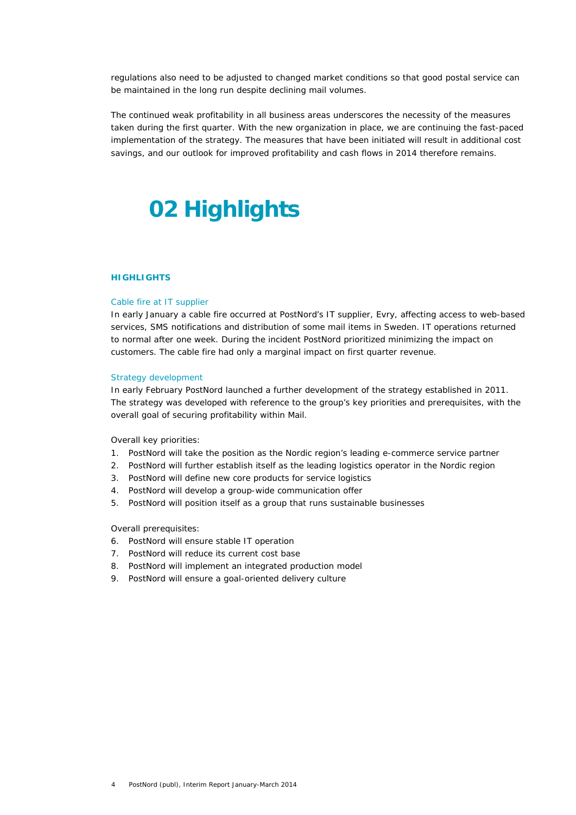regulations also need to be adjusted to changed market conditions so that good postal service can be maintained in the long run despite declining mail volumes.

The continued weak profitability in all business areas underscores the necessity of the measures taken during the first quarter. With the new organization in place, we are continuing the fast-paced implementation of the strategy. The measures that have been initiated will result in additional cost savings, and our outlook for improved profitability and cash flows in 2014 therefore remains.

# **02 Highlights**

## **HIGHLIGHTS**

#### Cable fire at IT supplier

In early January a cable fire occurred at PostNord's IT supplier, Evry, affecting access to web-based services, SMS notifications and distribution of some mail items in Sweden. IT operations returned to normal after one week. During the incident PostNord prioritized minimizing the impact on customers. The cable fire had only a marginal impact on first quarter revenue.

## Strategy development

In early February PostNord launched a further development of the strategy established in 2011. The strategy was developed with reference to the group's key priorities and prerequisites, with the overall goal of securing profitability within Mail.

Overall key priorities:

- 1. PostNord will take the position as the Nordic region's leading e-commerce service partner
- 2. PostNord will further establish itself as the leading logistics operator in the Nordic region
- 3. PostNord will define new core products for service logistics
- 4. PostNord will develop a group-wide communication offer
- 5. PostNord will position itself as a group that runs sustainable businesses

Overall prerequisites:

- 6. PostNord will ensure stable IT operation
- 7. PostNord will reduce its current cost base
- 8. PostNord will implement an integrated production model
- 9. PostNord will ensure a goal-oriented delivery culture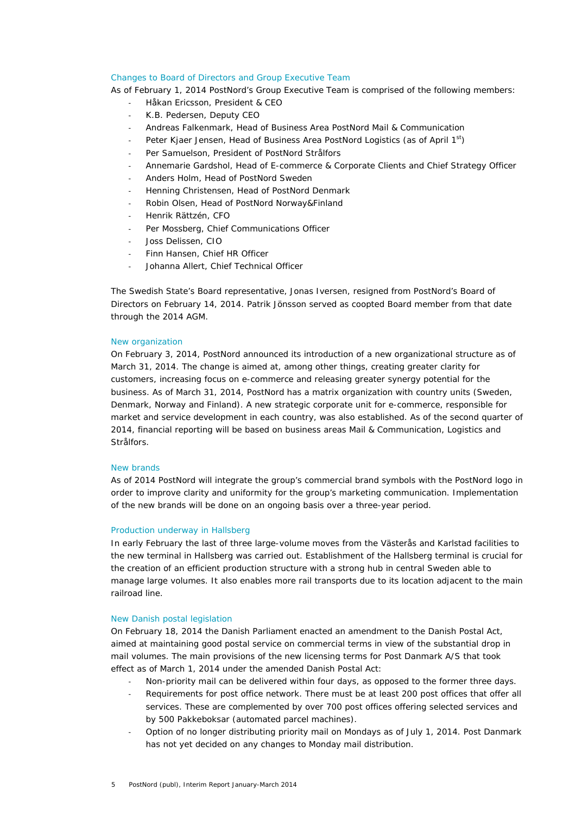## Changes to Board of Directors and Group Executive Team

As of February 1, 2014 PostNord's Group Executive Team is comprised of the following members:

- ‐ Håkan Ericsson, President & CEO
- ‐ K.B. Pedersen, Deputy CEO
- ‐ Andreas Falkenmark, Head of Business Area PostNord Mail & Communication
- Peter Kjaer Jensen, Head of Business Area PostNord Logistics (as of April 1st)
- ‐ Per Samuelson, President of PostNord Strålfors
- ‐ Annemarie Gardshol, Head of E-commerce & Corporate Clients and Chief Strategy Officer
- ‐ Anders Holm, Head of PostNord Sweden
- ‐ Henning Christensen, Head of PostNord Denmark
- ‐ Robin Olsen, Head of PostNord Norway&Finland
- ‐ Henrik Rättzén, CFO
- Per Mossberg, Chief Communications Officer
- ‐ Joss Delissen, CIO
- ‐ Finn Hansen, Chief HR Officer
- ‐ Johanna Allert, Chief Technical Officer

The Swedish State's Board representative, Jonas Iversen, resigned from PostNord's Board of Directors on February 14, 2014. Patrik Jönsson served as coopted Board member from that date through the 2014 AGM.

### New organization

On February 3, 2014, PostNord announced its introduction of a new organizational structure as of March 31, 2014. The change is aimed at, among other things, creating greater clarity for customers, increasing focus on e-commerce and releasing greater synergy potential for the business. As of March 31, 2014, PostNord has a matrix organization with country units (Sweden, Denmark, Norway and Finland). A new strategic corporate unit for e-commerce, responsible for market and service development in each country, was also established. As of the second quarter of 2014, financial reporting will be based on business areas Mail & Communication, Logistics and Strålfors.

### New brands

As of 2014 PostNord will integrate the group's commercial brand symbols with the PostNord logo in order to improve clarity and uniformity for the group's marketing communication. Implementation of the new brands will be done on an ongoing basis over a three-year period.

### Production underway in Hallsberg

In early February the last of three large-volume moves from the Västerås and Karlstad facilities to the new terminal in Hallsberg was carried out. Establishment of the Hallsberg terminal is crucial for the creation of an efficient production structure with a strong hub in central Sweden able to manage large volumes. It also enables more rail transports due to its location adjacent to the main railroad line.

## New Danish postal legislation

On February 18, 2014 the Danish Parliament enacted an amendment to the Danish Postal Act, aimed at maintaining good postal service on commercial terms in view of the substantial drop in mail volumes. The main provisions of the new licensing terms for Post Danmark A/S that took effect as of March 1, 2014 under the amended Danish Postal Act:

- ‐ Non-priority mail can be delivered within four days, as opposed to the former three days.
- Requirements for post office network. There must be at least 200 post offices that offer all services. These are complemented by over 700 post offices offering selected services and by 500 Pakkeboksar (automated parcel machines).
- ‐ Option of no longer distributing priority mail on Mondays as of July 1, 2014. Post Danmark has not yet decided on any changes to Monday mail distribution.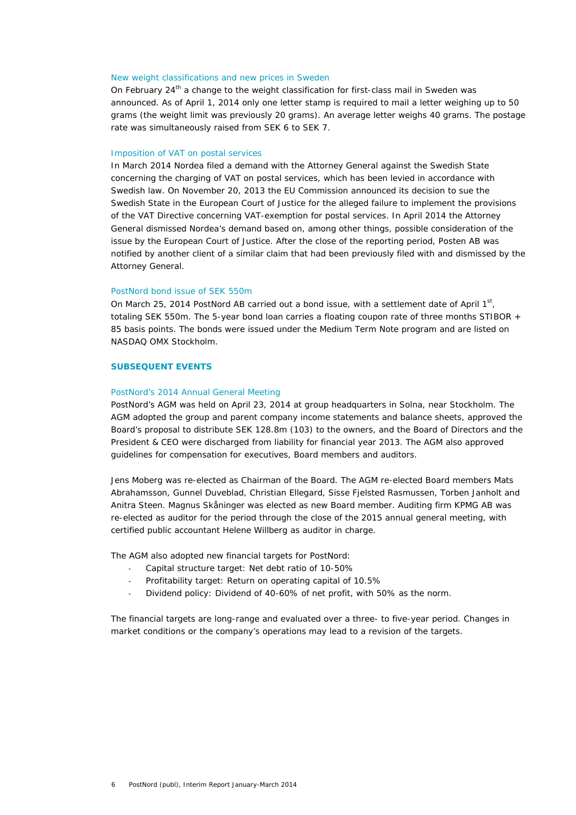## New weight classifications and new prices in Sweden

On February  $24<sup>th</sup>$  a change to the weight classification for first-class mail in Sweden was announced. As of April 1, 2014 only one letter stamp is required to mail a letter weighing up to 50 grams (the weight limit was previously 20 grams). An average letter weighs 40 grams. The postage rate was simultaneously raised from SEK 6 to SEK 7.

## Imposition of VAT on postal services

In March 2014 Nordea filed a demand with the Attorney General against the Swedish State concerning the charging of VAT on postal services, which has been levied in accordance with Swedish law. On November 20, 2013 the EU Commission announced its decision to sue the Swedish State in the European Court of Justice for the alleged failure to implement the provisions of the VAT Directive concerning VAT-exemption for postal services. In April 2014 the Attorney General dismissed Nordea's demand based on, among other things, possible consideration of the issue by the European Court of Justice. After the close of the reporting period, Posten AB was notified by another client of a similar claim that had been previously filed with and dismissed by the Attorney General.

## PostNord bond issue of SEK 550m

On March 25, 2014 PostNord AB carried out a bond issue, with a settlement date of April  $1<sup>st</sup>$ , totaling SEK 550m. The 5-year bond loan carries a floating coupon rate of three months STIBOR + 85 basis points. The bonds were issued under the Medium Term Note program and are listed on NASDAQ OMX Stockholm.

## **SUBSEQUENT EVENTS**

### PostNord's 2014 Annual General Meeting

PostNord's AGM was held on April 23, 2014 at group headquarters in Solna, near Stockholm. The AGM adopted the group and parent company income statements and balance sheets, approved the Board's proposal to distribute SEK 128.8m (103) to the owners, and the Board of Directors and the President & CEO were discharged from liability for financial year 2013. The AGM also approved guidelines for compensation for executives, Board members and auditors.

Jens Moberg was re-elected as Chairman of the Board. The AGM re-elected Board members Mats Abrahamsson, Gunnel Duveblad, Christian Ellegard, Sisse Fjelsted Rasmussen, Torben Janholt and Anitra Steen. Magnus Skåninger was elected as new Board member. Auditing firm KPMG AB was re-elected as auditor for the period through the close of the 2015 annual general meeting, with certified public accountant Helene Willberg as auditor in charge.

The AGM also adopted new financial targets for PostNord:

- ‐ Capital structure target: Net debt ratio of 10-50%
- ‐ Profitability target: Return on operating capital of 10.5%
- ‐ Dividend policy: Dividend of 40-60% of net profit, with 50% as the norm.

The financial targets are long-range and evaluated over a three- to five-year period. Changes in market conditions or the company's operations may lead to a revision of the targets.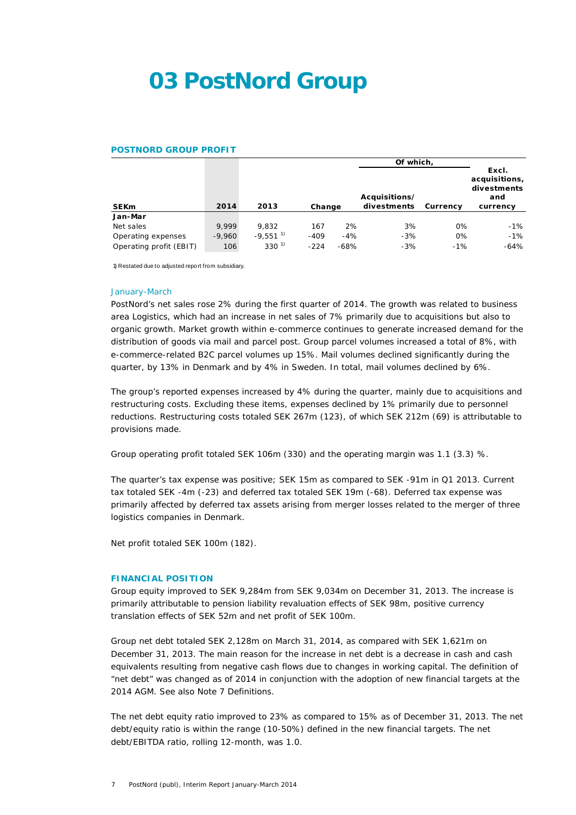## **03 PostNord Group**

## **POSTNORD GROUP PROFIT**

|                         |          |                        |        |        | Of which.   |          |                                              |
|-------------------------|----------|------------------------|--------|--------|-------------|----------|----------------------------------------------|
|                         |          | Acquisitions/          |        |        |             |          | Excl.<br>acquisitions,<br>divestments<br>and |
| <b>SEKm</b>             | 2014     | 2013                   | Change |        | divestments | Currency | currency                                     |
| Jan-Mar                 |          |                        |        |        |             |          |                                              |
| Net sales               | 9.999    | 9.832                  | 167    | 2%     | 3%          | 0%       | -1%                                          |
| Operating expenses      | $-9.960$ | $-9.551$ <sup>1)</sup> | $-409$ | $-4%$  | $-3%$       | 0%       | $-1\%$                                       |
| Operating profit (EBIT) | 106      | $330^{1}$              | $-224$ | $-68%$ | $-3%$       | $-1%$    | $-64%$                                       |

1) Restated due to adjusted report from subsidiary.

### January-March

PostNord's net sales rose 2% during the first quarter of 2014. The growth was related to business area Logistics, which had an increase in net sales of 7% primarily due to acquisitions but also to organic growth. Market growth within e-commerce continues to generate increased demand for the distribution of goods via mail and parcel post. Group parcel volumes increased a total of 8%, with e-commerce-related B2C parcel volumes up 15%. Mail volumes declined significantly during the quarter, by 13% in Denmark and by 4% in Sweden. In total, mail volumes declined by 6%.

The group's reported expenses increased by 4% during the quarter, mainly due to acquisitions and restructuring costs. Excluding these items, expenses declined by 1% primarily due to personnel reductions. Restructuring costs totaled SEK 267m (123), of which SEK 212m (69) is attributable to provisions made.

Group operating profit totaled SEK 106m (330) and the operating margin was 1.1 (3.3) %.

The quarter's tax expense was positive; SEK 15m as compared to SEK -91m in Q1 2013. Current tax totaled SEK -4m (-23) and deferred tax totaled SEK 19m (-68). Deferred tax expense was primarily affected by deferred tax assets arising from merger losses related to the merger of three logistics companies in Denmark.

Net profit totaled SEK 100m (182).

## **FINANCIAL POSITION**

Group equity improved to SEK 9,284m from SEK 9,034m on December 31, 2013. The increase is primarily attributable to pension liability revaluation effects of SEK 98m, positive currency translation effects of SEK 52m and net profit of SEK 100m.

Group net debt totaled SEK 2,128m on March 31, 2014, as compared with SEK 1,621m on December 31, 2013. The main reason for the increase in net debt is a decrease in cash and cash equivalents resulting from negative cash flows due to changes in working capital. The definition of "net debt" was changed as of 2014 in conjunction with the adoption of new financial targets at the 2014 AGM. See also Note 7 Definitions.

The net debt equity ratio improved to 23% as compared to 15% as of December 31, 2013. The net debt/equity ratio is within the range (10-50%) defined in the new financial targets. The net debt/EBITDA ratio, rolling 12-month, was 1.0.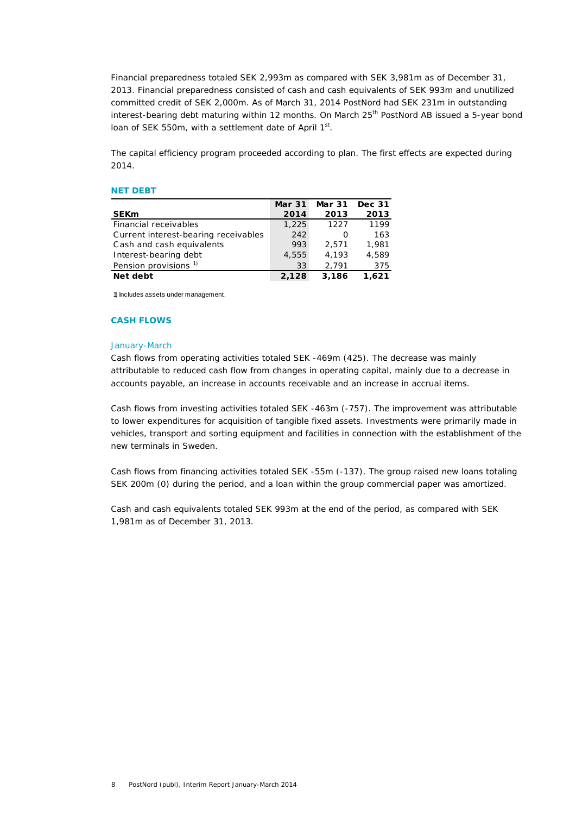Financial preparedness totaled SEK 2,993m as compared with SEK 3,981m as of December 31, 2013. Financial preparedness consisted of cash and cash equivalents of SEK 993m and unutilized committed credit of SEK 2,000m. As of March 31, 2014 PostNord had SEK 231m in outstanding interest-bearing debt maturing within 12 months. On March 25<sup>th</sup> PostNord AB issued a 5-year bond loan of SEK 550m, with a settlement date of April  $1<sup>st</sup>$ .

The capital efficiency program proceeded according to plan. The first effects are expected during 2014.

## **NET DEBT**

|                                      | <b>Mar 31</b> | <b>Mar 31</b> | <b>Dec 31</b> |
|--------------------------------------|---------------|---------------|---------------|
| <b>SEKm</b>                          | 2014          | 2013          | 2013          |
| Financial receivables                | 1,225         | 1227          | 1199          |
| Current interest-bearing receivables | 242           | Ο             | 163           |
| Cash and cash equivalents            | 993           | 2.571         | 1,981         |
| Interest-bearing debt                | 4,555         | 4.193         | 4.589         |
| Pension provisions <sup>1)</sup>     | 33            | 2.791         | 375           |
| Net debt                             | 2,128         | 3,186         | 1.621         |

1) Includes assets under management.

### **CASH FLOWS**

## January-March

Cash flows from operating activities totaled SEK -469m (425). The decrease was mainly attributable to reduced cash flow from changes in operating capital, mainly due to a decrease in accounts payable, an increase in accounts receivable and an increase in accrual items.

Cash flows from investing activities totaled SEK -463m (-757). The improvement was attributable to lower expenditures for acquisition of tangible fixed assets. Investments were primarily made in vehicles, transport and sorting equipment and facilities in connection with the establishment of the new terminals in Sweden.

Cash flows from financing activities totaled SEK -55m (-137). The group raised new loans totaling SEK 200m (0) during the period, and a loan within the group commercial paper was amortized.

Cash and cash equivalents totaled SEK 993m at the end of the period, as compared with SEK 1,981m as of December 31, 2013.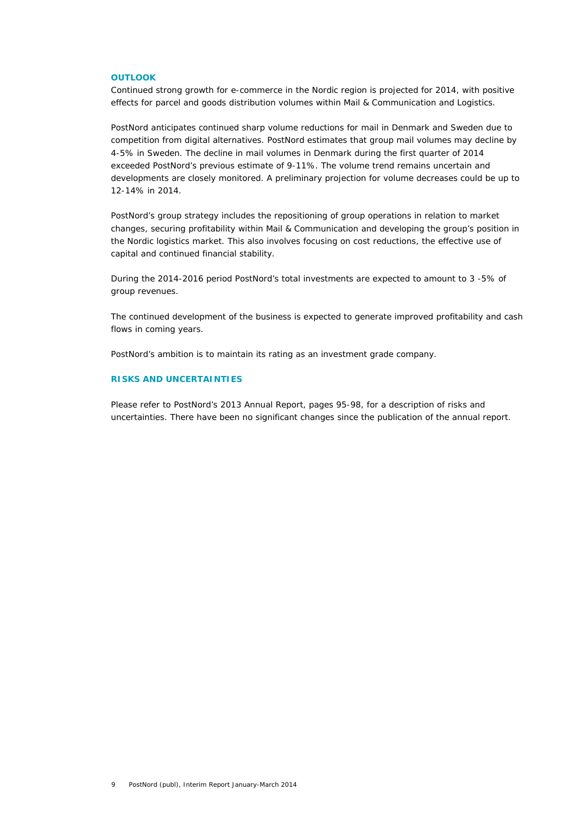### **OUTLOOK**

Continued strong growth for e-commerce in the Nordic region is projected for 2014, with positive effects for parcel and goods distribution volumes within Mail & Communication and Logistics.

PostNord anticipates continued sharp volume reductions for mail in Denmark and Sweden due to competition from digital alternatives. PostNord estimates that group mail volumes may decline by 4-5% in Sweden. The decline in mail volumes in Denmark during the first quarter of 2014 exceeded PostNord's previous estimate of 9-11%. The volume trend remains uncertain and developments are closely monitored. A preliminary projection for volume decreases could be up to 12-14% in 2014.

PostNord's group strategy includes the repositioning of group operations in relation to market changes, securing profitability within Mail & Communication and developing the group's position in the Nordic logistics market. This also involves focusing on cost reductions, the effective use of capital and continued financial stability.

During the 2014-2016 period PostNord's total investments are expected to amount to 3 -5% of group revenues.

The continued development of the business is expected to generate improved profitability and cash flows in coming years.

PostNord's ambition is to maintain its rating as an investment grade company.

## **RISKS AND UNCERTAINTIES**

Please refer to PostNord's 2013 Annual Report, pages 95-98, for a description of risks and uncertainties. There have been no significant changes since the publication of the annual report.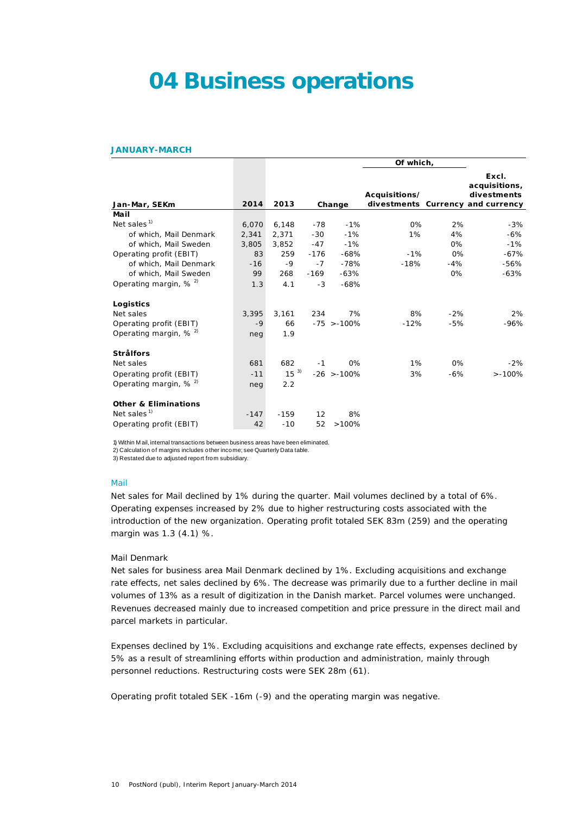## **04 Business operations**

#### **JANUARY-MARCH**

|                                                            |        |          |        |               | Of which,     |        |                                                                            |
|------------------------------------------------------------|--------|----------|--------|---------------|---------------|--------|----------------------------------------------------------------------------|
| Jan-Mar, SEKm                                              | 2014   | 2013     |        | Change        | Acquisitions/ |        | Excl.<br>acquisitions,<br>divestments<br>divestments Currency and currency |
| Mail                                                       |        |          |        |               |               |        |                                                                            |
| Net sales <sup><math>1</math></sup>                        | 6,070  | 6,148    | $-78$  | $-1%$         | 0%            | 2%     | $-3%$                                                                      |
| of which, Mail Denmark                                     | 2,341  | 2,371    | $-30$  | $-1%$         | 1%            | 4%     | $-6%$                                                                      |
| of which, Mail Sweden                                      | 3,805  | 3,852    | $-47$  | $-1%$         |               | 0%     | $-1%$                                                                      |
| Operating profit (EBIT)                                    | 83     | 259      | $-176$ | $-68%$        | $-1%$         | $0\%$  | $-67%$                                                                     |
| of which, Mail Denmark                                     | $-16$  | $-9$     | $-7$   | $-78%$        | $-18%$        | $-4%$  | $-56%$                                                                     |
| of which. Mail Sweden                                      | 99     | 268      | $-169$ | $-63%$        |               | 0%     | $-63%$                                                                     |
| Operating margin, % <sup>2)</sup>                          | 1.3    | 4.1      | $-3$   | $-68%$        |               |        |                                                                            |
| Logistics                                                  |        |          |        |               |               |        |                                                                            |
| Net sales                                                  | 3,395  | 3,161    | 234    | 7%            | 8%            | $-2%$  | 2%                                                                         |
| Operating profit (EBIT)                                    | $-9$   | 66       |        | $-75$ > -100% | $-12%$        | $-5%$  | $-96%$                                                                     |
| Operating margin, $% ^{2}$                                 | neg    | 1.9      |        |               |               |        |                                                                            |
| <b>Strålfors</b>                                           |        |          |        |               |               |        |                                                                            |
| Net sales                                                  | 681    | 682      | $-1$   | 0%            | 1%            | 0%     | $-2%$                                                                      |
| Operating profit (EBIT)                                    | $-11$  | $15^{3}$ |        | $-26$ > -100% | 3%            | $-6\%$ | $> -100%$                                                                  |
| Operating margin, $% ^{2}$                                 | neg    | 2.2      |        |               |               |        |                                                                            |
| <b>Other &amp; Eliminations</b><br>Net sales <sup>1)</sup> | $-147$ | $-159$   | 12     | 8%            |               |        |                                                                            |
| Operating profit (EBIT)                                    | 42     | $-10$    | 52     | >100%         |               |        |                                                                            |

1) Within M ail, internal transactions between business areas have been eliminated.

2) Calculation of margins includes other income; see Quarterly Data table.

3) Restated due to adjusted report from subsidiary.

## Mail

Net sales for Mail declined by 1% during the quarter. Mail volumes declined by a total of 6%. Operating expenses increased by 2% due to higher restructuring costs associated with the introduction of the new organization. Operating profit totaled SEK 83m (259) and the operating margin was 1.3 (4.1) %.

### *Mail Denmark*

Net sales for business area Mail Denmark declined by 1%. Excluding acquisitions and exchange rate effects, net sales declined by 6%. The decrease was primarily due to a further decline in mail volumes of 13% as a result of digitization in the Danish market. Parcel volumes were unchanged. Revenues decreased mainly due to increased competition and price pressure in the direct mail and parcel markets in particular.

Expenses declined by 1%. Excluding acquisitions and exchange rate effects, expenses declined by 5% as a result of streamlining efforts within production and administration, mainly through personnel reductions. Restructuring costs were SEK 28m (61).

Operating profit totaled SEK -16m (-9) and the operating margin was negative.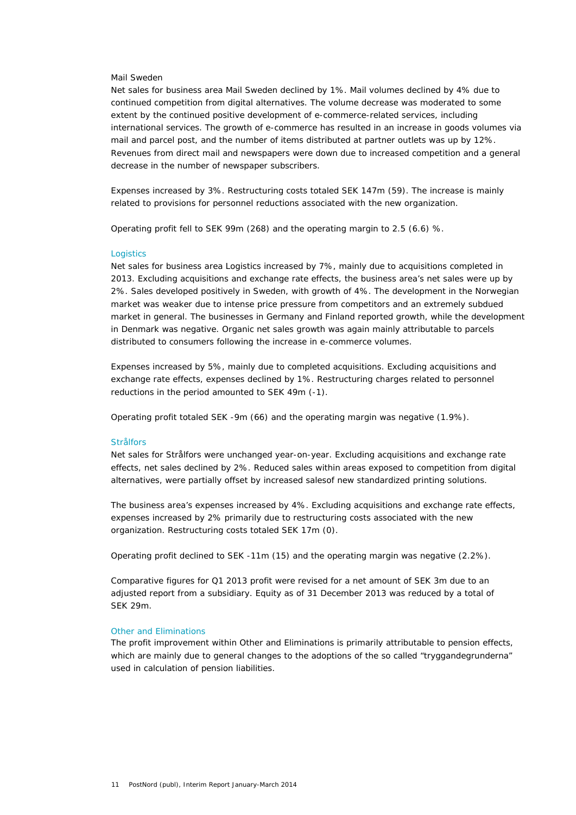### *Mail Sweden*

Net sales for business area Mail Sweden declined by 1%. Mail volumes declined by 4% due to continued competition from digital alternatives. The volume decrease was moderated to some extent by the continued positive development of e-commerce-related services, including international services. The growth of e-commerce has resulted in an increase in goods volumes via mail and parcel post, and the number of items distributed at partner outlets was up by 12%. Revenues from direct mail and newspapers were down due to increased competition and a general decrease in the number of newspaper subscribers.

Expenses increased by 3%. Restructuring costs totaled SEK 147m (59). The increase is mainly related to provisions for personnel reductions associated with the new organization.

Operating profit fell to SEK 99m (268) and the operating margin to 2.5 (6.6) %.

### **Logistics**

Net sales for business area Logistics increased by 7%, mainly due to acquisitions completed in 2013. Excluding acquisitions and exchange rate effects, the business area's net sales were up by 2%. Sales developed positively in Sweden, with growth of 4%. The development in the Norwegian market was weaker due to intense price pressure from competitors and an extremely subdued market in general. The businesses in Germany and Finland reported growth, while the development in Denmark was negative. Organic net sales growth was again mainly attributable to parcels distributed to consumers following the increase in e-commerce volumes.

Expenses increased by 5%, mainly due to completed acquisitions. Excluding acquisitions and exchange rate effects, expenses declined by 1%. Restructuring charges related to personnel reductions in the period amounted to SEK 49m (-1).

Operating profit totaled SEK -9m (66) and the operating margin was negative (1.9%).

#### **Strålfors**

Net sales for Strålfors were unchanged year-on-year. Excluding acquisitions and exchange rate effects, net sales declined by 2%. Reduced sales within areas exposed to competition from digital alternatives, were partially offset by increased salesof new standardized printing solutions.

The business area's expenses increased by 4%. Excluding acquisitions and exchange rate effects, expenses increased by 2% primarily due to restructuring costs associated with the new organization. Restructuring costs totaled SEK 17m (0).

Operating profit declined to SEK -11m (15) and the operating margin was negative (2.2%).

Comparative figures for Q1 2013 profit were revised for a net amount of SEK 3m due to an adjusted report from a subsidiary. Equity as of 31 December 2013 was reduced by a total of SEK 29m.

## Other and Eliminations

The profit improvement within Other and Eliminations is primarily attributable to pension effects, which are mainly due to general changes to the adoptions of the so called "tryggandegrunderna" used in calculation of pension liabilities.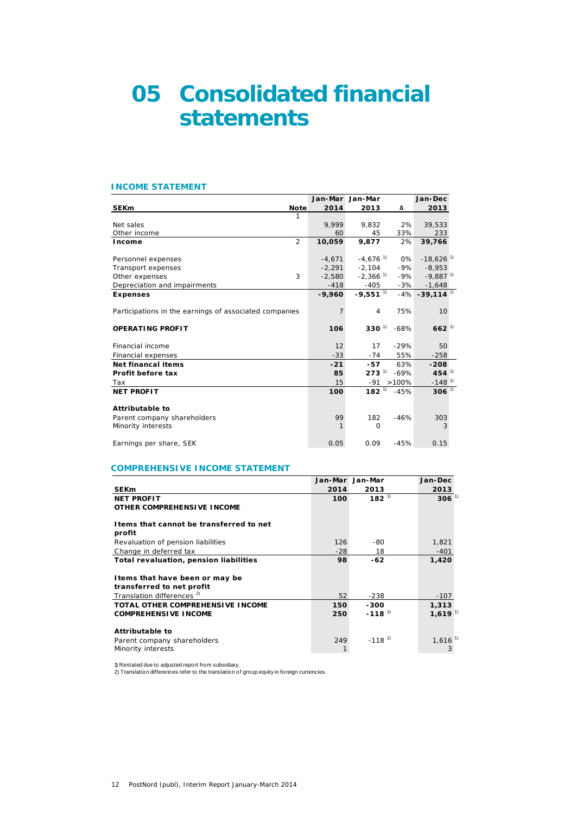## **05 Consolidated financial statements**

#### **INCOME STATEMENT**

|                                                        |          | Jan-Mar Jan-Mar        |                | Jan-Dec                      |
|--------------------------------------------------------|----------|------------------------|----------------|------------------------------|
| <b>Note</b><br><b>SEKm</b>                             | 2014     | 2013                   | Δ              | 2013                         |
| 1                                                      |          |                        |                |                              |
| Net sales                                              | 9.999    | 9,832                  | 2%             | 39,533                       |
| Other income                                           | 60       | 45                     | 33%            | 233                          |
| $\overline{2}$<br>Income                               | 10,059   | 9,877                  | 2%             | 39,766                       |
| Personnel expenses                                     | $-4.671$ | $-4,676$ <sup>1)</sup> | 0%             | $-18,626$ <sup>1)</sup>      |
| Transport expenses                                     | $-2.291$ | $-2.104$               | $-9%$          | $-8.953$                     |
| 3<br>Other expenses                                    | $-2.580$ | $-2,366$ <sup>1)</sup> | $-9\%$         | $-9,887$ <sup>1)</sup>       |
| Depreciation and impairments                           | $-418$   | -405                   | $-3%$          | $-1,648$                     |
| <b>Expenses</b>                                        | $-9,960$ | $-9,551$ <sup>1)</sup> |                | $-4\% -39,114$ <sup>1)</sup> |
| Participations in the earnings of associated companies | 7        | 4                      | 75%            | 10                           |
| <b>OPERATING PROFIT</b>                                | 106      | $330^{1}$              | $-68%$         | $662^{11}$                   |
| Financial income                                       | 12       | 17                     | $-29%$         | 50                           |
| Financial expenses                                     | $-33$    | $-74$                  | 55%            | $-258$                       |
| <b>Net financal items</b>                              | $-21$    | -57                    | 63%            | $-208$                       |
| Profit before tax                                      | 85       | $273^{11} - 69\%$      |                | $454^{1}$                    |
| Tax                                                    | 15       |                        | $-91 > 100\%$  | $-148^{1}$                   |
| <b>NET PROFIT</b>                                      | 100      |                        | $182^{1}$ -45% | $306^{11}$                   |
| <b>Attributable to</b>                                 |          |                        |                |                              |
| Parent company shareholders                            | 99       | 182                    | $-46%$         | 303                          |
| Minority interests                                     | 1        | $\Omega$               |                | 3                            |
| Earnings per share, SEK                                | 0.05     | 0.09                   | $-45%$         | 0.15                         |

## **COMPREHENSIVE INCOME STATEMENT**

|                                                              | Jan-Mar | Jan-Mar              | Jan-Dec               |
|--------------------------------------------------------------|---------|----------------------|-----------------------|
| <b>SEKm</b>                                                  | 2014    | 2013                 | 2013                  |
| <b>NET PROFIT</b>                                            | 100     | $182^{1}$            | $306^{1}$             |
| OTHER COMPREHENSIVE INCOME                                   |         |                      |                       |
| I tems that cannot be transferred to net<br>profit           |         |                      |                       |
| Revaluation of pension liabilities                           | 126     | -80                  | 1,821                 |
| Change in deferred tax                                       | $-28$   | 18                   | $-401$                |
| Total revaluation, pension liabilities                       | 98      | $-62$                | 1,420                 |
| I tems that have been or may be<br>transferred to net profit |         |                      |                       |
| Translation differences <sup>2)</sup>                        | 52      | -238                 | $-107$                |
| <b>TOTAL OTHER COMPREHENSIVE INCOME</b>                      | 150     | -300                 | 1,313                 |
| <b>COMPREHENSIVE INCOME</b>                                  | 250     | $-118$ <sup>1)</sup> | 1,619 <sup>1</sup>    |
| Attributable to                                              |         |                      |                       |
| Parent company shareholders                                  | 249     | $-118^{11}$          | $1,616$ <sup>1)</sup> |
| Minority interests                                           | 1       |                      | 3                     |

1) Restated due to adjusted report from subsidiary. 2) Translation differences refer to the translation of group equity in foreign currencies.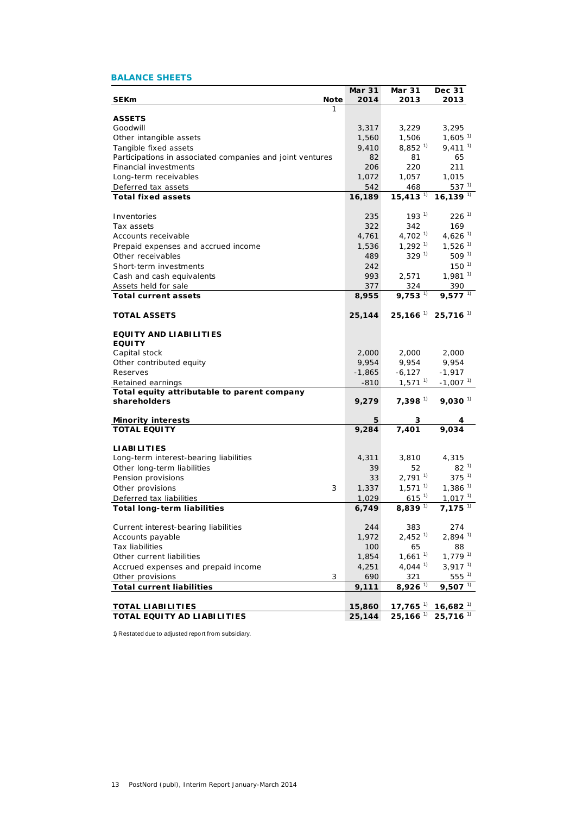## **BALANCE SHEETS**

|                                                           | <b>Mar 31</b> | Mar 31                        | Dec 31                                      |
|-----------------------------------------------------------|---------------|-------------------------------|---------------------------------------------|
| <b>SEKm</b><br>Note                                       | 2014          | 2013                          | 2013                                        |
| 1                                                         |               |                               |                                             |
| <b>ASSETS</b>                                             |               |                               |                                             |
| Goodwill                                                  | 3,317         | 3,229                         | 3,295                                       |
| Other intangible assets                                   | 1,560         | 1,506                         | $1,605^{1}$                                 |
| Tangible fixed assets                                     | 9,410         | $8,852$ <sup>1)</sup>         | $9,411^{1}$                                 |
| Participations in associated companies and joint ventures | 82            | 81                            | 65                                          |
| Financial investments                                     | 206           | 220                           | 211                                         |
| Long-term receivables                                     | 1,072         | 1,057                         | 1,015<br>$537^{1}$                          |
| Deferred tax assets                                       | 542           | 468<br>$15,413$ <sup>1)</sup> | $16,139$ <sup>1)</sup>                      |
| <b>Total fixed assets</b>                                 | 16,189        |                               |                                             |
| Inventories                                               | 235           | $193^{11}$                    | $226$ <sup>1)</sup>                         |
| Tax assets                                                | 322           | 342                           | 169                                         |
| Accounts receivable                                       |               | $4,702$ <sup>1)</sup>         | 4,626 $1$                                   |
|                                                           | 4,761         |                               |                                             |
| Prepaid expenses and accrued income                       | 1,536         | $1,292$ <sup>1)</sup>         | $1,526$ <sup>1)</sup>                       |
| Other receivables                                         | 489           | $329^{11}$                    | 509 <sup>1</sup>                            |
| Short-term investments                                    | 242           |                               | $150^{11}$                                  |
| Cash and cash equivalents                                 | 993           | 2,571                         | $1,981$ <sup>1)</sup>                       |
| Assets held for sale                                      | 377           | 324                           | 390                                         |
| <b>Total current assets</b>                               | 8,955         | $9,753$ <sup>1)</sup>         | $9,577$ <sup>1)</sup>                       |
|                                                           |               |                               |                                             |
| <b>TOTAL ASSETS</b>                                       | 25,144        |                               | $25,166$ <sup>1</sup> $25,716$ <sup>1</sup> |
| <b>EQUITY AND LIABILITIES</b>                             |               |                               |                                             |
| <b>EQUITY</b>                                             |               |                               |                                             |
| Capital stock                                             | 2,000         | 2,000                         | 2,000                                       |
| Other contributed equity                                  | 9,954         | 9,954                         | 9,954                                       |
| Reserves                                                  | $-1,865$      | $-6,127$                      | $-1,917$                                    |
| Retained earnings                                         | $-810$        | $1,571$ <sup>1)</sup>         | $-1,007$ <sup>1)</sup>                      |
| Total equity attributable to parent company               |               |                               |                                             |
| shareholders                                              | 9,279         | 7,398 $\overline{ }$          | $9,030$ <sup>1)</sup>                       |
|                                                           |               |                               |                                             |
| <b>Minority interests</b>                                 | 5             | З                             |                                             |
| <b>TOTAL EQUITY</b>                                       | 9,284         | 7,401                         | 9,034                                       |
|                                                           |               |                               |                                             |
| <b>LIABILITIES</b>                                        |               |                               |                                             |
| Long-term interest-bearing liabilities                    | 4,311         | 3,810                         | 4,315                                       |
| Other long-term liabilities                               | 39            | 52                            | $82^{11}$                                   |
| Pension provisions                                        | 33            | $2,791^{1}$                   | $375^{1}$                                   |
| Other provisions<br>3                                     | 1,337         | $1,571$ <sup>1)</sup>         | $1,386$ <sup>1)</sup>                       |
| Deferred tax liabilities                                  | 1,029         | $615^{1}$                     | $1,017$ <sup>1)</sup>                       |
| <b>Total long-term liabilities</b>                        | 6,749         | $8,839$ <sup>1)</sup>         | $7,175$ <sup>1)</sup>                       |
|                                                           |               |                               |                                             |
| Current interest-bearing liabilities                      | 244           | 383                           | 274                                         |
| Accounts payable                                          | 1,972         | $2.452^{1}$                   | $2,894$ <sup>1)</sup>                       |
| <b>Tax liabilities</b>                                    | 100           | 65                            | 88                                          |
| Other current liabilities                                 | 1,854         | $1,661$ <sup>1)</sup>         | $1.779^{1}$                                 |
| Accrued expenses and prepaid income                       | 4,251         | $4,044$ <sup>1)</sup>         | $3,917$ <sup>1)</sup>                       |
| 3<br>Other provisions                                     | 690           | 321                           | $555^{1}$                                   |
| <b>Total current liabilities</b>                          | 9,111         | $8,926$ <sup>1)</sup>         | $9,507$ <sup>1)</sup>                       |
|                                                           |               |                               |                                             |
| <b>TOTAL LIABILITIES</b>                                  | 15,860        | $17,765$ <sup>1)</sup>        | $16,682$ <sup>1)</sup>                      |
| TOTAL EQUITY AD LIABILITIES                               | 25,144        | $25,166$ <sup>1)</sup>        | $25,716$ <sup>1)</sup>                      |

1) Restated due to adjusted report from subsidiary.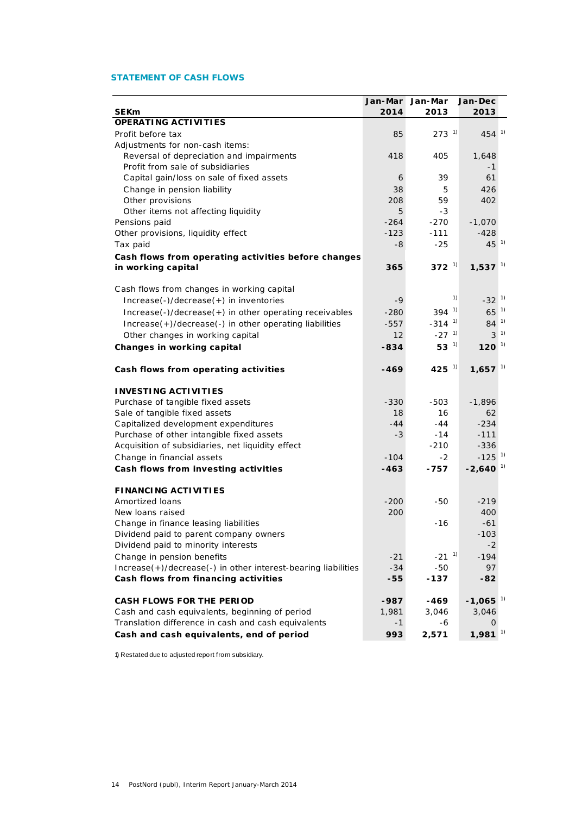## **STATEMENT OF CASH FLOWS**

|                                                               | Jan-Mar | Jan-Mar              | Jan-Dec                |  |
|---------------------------------------------------------------|---------|----------------------|------------------------|--|
| <b>SEKm</b>                                                   | 2014    | 2013                 | 2013                   |  |
| <b>OPERATING ACTIVITIES</b>                                   |         |                      |                        |  |
| Profit before tax                                             | 85      | $273^{1}$            | $454^{1}$              |  |
| Adjustments for non-cash items:                               |         |                      |                        |  |
| Reversal of depreciation and impairments                      | 418     | 405                  | 1,648                  |  |
| Profit from sale of subsidiaries                              |         |                      | -1                     |  |
| Capital gain/loss on sale of fixed assets                     | 6       | 39                   | 61                     |  |
| Change in pension liability                                   | 38      | 5.                   | 426                    |  |
| Other provisions                                              | 208     | 59                   | 402                    |  |
| Other items not affecting liquidity                           | 5       | -3                   |                        |  |
| Pensions paid                                                 | $-264$  | $-270$               | $-1,070$               |  |
| Other provisions, liquidity effect                            | $-123$  | $-111$               | -428                   |  |
| Tax paid                                                      | -8      | $-25$                | $45^{1}$               |  |
| Cash flows from operating activities before changes           |         |                      |                        |  |
| in working capital                                            | 365     | 372 $1$              | $1,537$ <sup>1)</sup>  |  |
|                                                               |         |                      |                        |  |
| Cash flows from changes in working capital                    |         |                      |                        |  |
| Increase(-)/decrease(+) in inventories                        | -9      | 1)                   | $-32^{1}$              |  |
| Increase(-)/decrease(+) in other operating receivables        | $-280$  | $394^{1}$            | $65^{1}$               |  |
| Increase(+)/decrease(-) in other operating liabilities        | $-557$  | $-314$ <sup>1)</sup> | $84^{1}$               |  |
| Other changes in working capital                              | 12      | $-27$ <sup>1)</sup>  | $3^{1}$                |  |
| Changes in working capital                                    | $-834$  | 53 $^{1}$            | $120^{1}$              |  |
|                                                               |         |                      |                        |  |
| Cash flows from operating activities                          | $-469$  | 425 $^{-1}$          | $1,657$ <sup>1)</sup>  |  |
| <b>INVESTING ACTIVITIES</b>                                   |         |                      |                        |  |
| Purchase of tangible fixed assets                             | $-330$  | $-503$               | $-1,896$               |  |
| Sale of tangible fixed assets                                 | 18      | 16                   | 62                     |  |
| Capitalized development expenditures                          | $-44$   | $-44$                | $-234$                 |  |
| Purchase of other intangible fixed assets                     | -3      | $-14$                | $-111$                 |  |
| Acquisition of subsidiaries, net liquidity effect             |         | $-210$               | $-336$                 |  |
| Change in financial assets                                    | $-104$  | $-2$                 | $-125$ <sup>1)</sup>   |  |
| Cash flows from investing activities                          | $-463$  | -757                 | $-2,640$ <sup>1)</sup> |  |
|                                                               |         |                      |                        |  |
| <b>FINANCING ACTIVITIES</b>                                   |         |                      |                        |  |
| Amortized loans                                               | $-200$  | $-50$                | $-219$                 |  |
| New loans raised                                              | 200     |                      | 400                    |  |
| Change in finance leasing liabilities                         |         | $-16$                | $-61$                  |  |
| Dividend paid to parent company owners                        |         |                      | -103                   |  |
| Dividend paid to minority interests                           |         |                      | $-2$                   |  |
| Change in pension benefits                                    | $-21$   | $-21^{1}$            | $-194$                 |  |
| Increase(+)/decrease(-) in other interest-bearing liabilities | $-34$   | $-50$                | 97                     |  |
| Cash flows from financing activities                          | $-55$   | $-137$               | $-82$                  |  |
|                                                               |         |                      |                        |  |
| <b>CASH FLOWS FOR THE PERIOD</b>                              | -987    | -469                 | $-1,065$ <sup>1)</sup> |  |
| Cash and cash equivalents, beginning of period                | 1,981   | 3,046                | 3,046                  |  |
| Translation difference in cash and cash equivalents           | $-1$    | -6                   | 0                      |  |
| Cash and cash equivalents, end of period                      | 993     | 2,571                | $1,981$ <sup>1)</sup>  |  |

1) Restated due to adjusted report from subsidiary.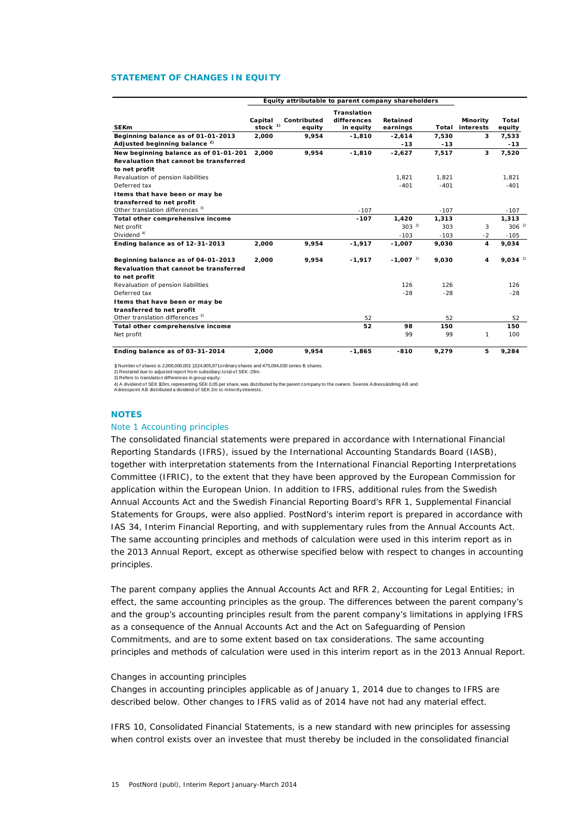## **STATEMENT OF CHANGES IN EQUITY**

|                                                         |                      | Equity attributable to parent company shareholders |                                         |                        |        |                              |                 |
|---------------------------------------------------------|----------------------|----------------------------------------------------|-----------------------------------------|------------------------|--------|------------------------------|-----------------|
| <b>SEK<sub>m</sub></b>                                  | Capital<br>stock $1$ | Contributed<br>equity                              | Translation<br>differences<br>in equity | Retained<br>earnings   | Total  | <b>Minority</b><br>interests | Total<br>equity |
| Beginning balance as of 01-01-2013                      | 2,000                | 9,954                                              | $-1,810$                                | $-2,614$               | 7,530  | 3                            | 7,533           |
| Adjusted beginning balance <sup>2)</sup>                |                      |                                                    |                                         | $-13$                  | $-13$  |                              | $-13$           |
| New beginning balance as of 01-01-201                   | 2.000                | 9.954                                              | $-1.810$                                | $-2.627$               | 7.517  | 3                            | 7.520           |
| Revaluation that cannot be transferred                  |                      |                                                    |                                         |                        |        |                              |                 |
| to net profit                                           |                      |                                                    |                                         |                        |        |                              |                 |
| Revaluation of pension liabilities                      |                      |                                                    |                                         | 1.821                  | 1.821  |                              | 1.821           |
| Deferred tax                                            |                      |                                                    |                                         | $-401$                 | $-401$ |                              | $-401$          |
| I tems that have been or may be                         |                      |                                                    |                                         |                        |        |                              |                 |
| transferred to net profit                               |                      |                                                    |                                         |                        |        |                              |                 |
| Other translation differences <sup>3)</sup>             |                      |                                                    | $-107$                                  |                        | $-107$ |                              | $-107$          |
| Total other comprehensive income                        |                      |                                                    | $-107$                                  | 1.420                  | 1.313  |                              | 1,313           |
| Net profit                                              |                      |                                                    |                                         | $303^{2}$              | 303    | 3                            | $306^{2}$       |
| Dividend $4$ )                                          |                      |                                                    |                                         | $-103$                 | $-103$ | $-2$                         | $-105$          |
| Ending balance as of 12-31-2013                         | 2,000                | 9.954                                              | $-1,917$                                | $-1,007$               | 9.030  | 4                            | 9.034           |
| Beginning balance as of 04-01-2013                      | 2,000                | 9,954                                              | $-1,917$                                | $-1,007$ <sup>2)</sup> | 9,030  | 4                            | $9,034^{2}$     |
| Revaluation that cannot be transferred<br>to net profit |                      |                                                    |                                         |                        |        |                              |                 |
| Revaluation of pension liabilities                      |                      |                                                    |                                         | 126                    | 126    |                              | 126             |
| Deferred tax                                            |                      |                                                    |                                         | $-28$                  | $-28$  |                              | $-28$           |
| I tems that have been or may be                         |                      |                                                    |                                         |                        |        |                              |                 |
| transferred to net profit                               |                      |                                                    |                                         |                        |        |                              |                 |
| Other translation differences <sup>3)</sup>             |                      |                                                    | 52                                      |                        | 52     |                              | 52              |
| Total other comprehensive income                        |                      |                                                    | 52                                      | 98                     | 150    |                              | 150             |
| Net profit                                              |                      |                                                    |                                         | 99                     | 99     | 1                            | 100             |
| Ending balance as of 03-31-2014                         | 2.000                | 9.954                                              | $-1.865$                                | $-810$                 | 9.279  | 5                            | 9.284           |

1) Number of shares is 2,000,000,001: 1,524,905,971 ordinary shares and 475,094,030 series B shares.

2) Restated due to adjusted report from subsidiary; total of SEK -29m. 3) Refers to translation differences in group equity.

4) A dividend of SEK 103m, representing SEK 0.05 per share, was distributed by the parent company to the owners. Svensk Adressändring AB anc<br>Adresspoint AB distributed a dividend of SEK 2m to minority interests.

### **NOTES**

### Note 1 Accounting principles

The consolidated financial statements were prepared in accordance with International Financial Reporting Standards (IFRS), issued by the International Accounting Standards Board (IASB), together with interpretation statements from the International Financial Reporting Interpretations Committee (IFRIC), to the extent that they have been approved by the European Commission for application within the European Union. In addition to IFRS, additional rules from the Swedish Annual Accounts Act and the Swedish Financial Reporting Board's RFR 1, Supplemental Financial Statements for Groups, were also applied. PostNord's interim report is prepared in accordance with IAS 34, Interim Financial Reporting, and with supplementary rules from the Annual Accounts Act. The same accounting principles and methods of calculation were used in this interim report as in the 2013 Annual Report, except as otherwise specified below with respect to changes in accounting principles.

The parent company applies the Annual Accounts Act and RFR 2, Accounting for Legal Entities; in effect, the same accounting principles as the group. The differences between the parent company's and the group's accounting principles result from the parent company's limitations in applying IFRS as a consequence of the Annual Accounts Act and the Act on Safeguarding of Pension Commitments, and are to some extent based on tax considerations. The same accounting principles and methods of calculation were used in this interim report as in the 2013 Annual Report.

### *Changes in accounting principles*

Changes in accounting principles applicable as of January 1, 2014 due to changes to IFRS are described below. Other changes to IFRS valid as of 2014 have not had any material effect.

*IFRS 10, Consolidated Financial Statements*, is a new standard with new principles for assessing when control exists over an investee that must thereby be included in the consolidated financial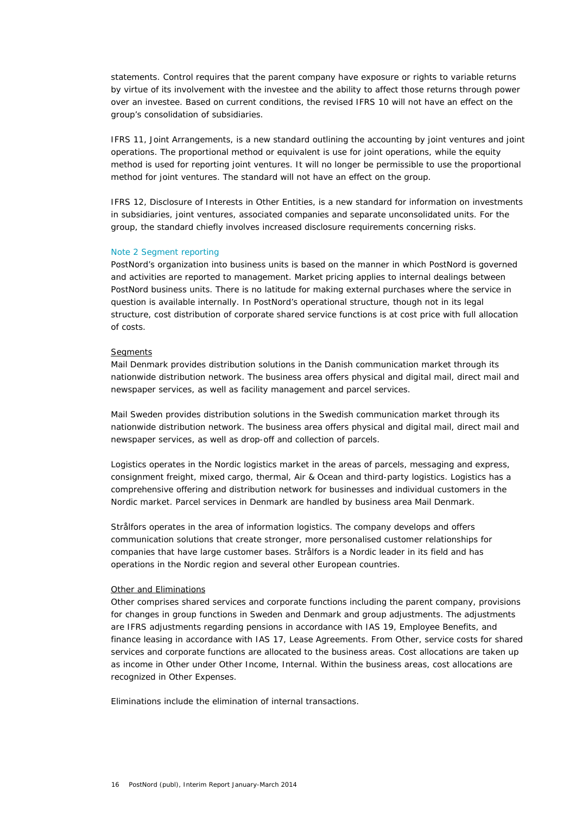statements. Control requires that the parent company have exposure or rights to variable returns by virtue of its involvement with the investee and the ability to affect those returns through power over an investee. Based on current conditions, the revised IFRS 10 will not have an effect on the group's consolidation of subsidiaries.

*IFRS 11, Joint Arrangements,* is a new standard outlining the accounting by joint ventures and joint operations. The proportional method or equivalent is use for joint operations, while the equity method is used for reporting joint ventures. It will no longer be permissible to use the proportional method for joint ventures. The standard will not have an effect on the group.

*IFRS 12, Disclosure of Interests in Other Entities*, is a new standard for information on investments in subsidiaries, joint ventures, associated companies and separate unconsolidated units. For the group, the standard chiefly involves increased disclosure requirements concerning risks.

## Note 2 Segment reporting

PostNord's organization into business units is based on the manner in which PostNord is governed and activities are reported to management. Market pricing applies to internal dealings between PostNord business units. There is no latitude for making external purchases where the service in question is available internally. In PostNord's operational structure, though not in its legal structure, cost distribution of corporate shared service functions is at cost price with full allocation of costs.

### *Segments*

*Mail Denmark* provides distribution solutions in the Danish communication market through its nationwide distribution network. The business area offers physical and digital mail, direct mail and newspaper services, as well as facility management and parcel services.

*Mail Sweden* provides distribution solutions in the Swedish communication market through its nationwide distribution network. The business area offers physical and digital mail, direct mail and newspaper services, as well as drop-off and collection of parcels.

*Logistics* operates in the Nordic logistics market in the areas of parcels, messaging and express, consignment freight, mixed cargo, thermal, Air & Ocean and third-party logistics. Logistics has a comprehensive offering and distribution network for businesses and individual customers in the Nordic market. Parcel services in Denmark are handled by business area Mail Denmark.

*Strålfors* operates in the area of information logistics. The company develops and offers communication solutions that create stronger, more personalised customer relationships for companies that have large customer bases. Strålfors is a Nordic leader in its field and has operations in the Nordic region and several other European countries.

## *Other and Eliminations*

*Other* comprises shared services and corporate functions including the parent company, provisions for changes in group functions in Sweden and Denmark and group adjustments. The adjustments are IFRS adjustments regarding pensions in accordance with IAS 19, Employee Benefits, and finance leasing in accordance with IAS 17, Lease Agreements. From Other, service costs for shared services and corporate functions are allocated to the business areas. Cost allocations are taken up as income in Other under Other Income, Internal. Within the business areas, cost allocations are recognized in Other Expenses.

*Eliminations* include the elimination of internal transactions.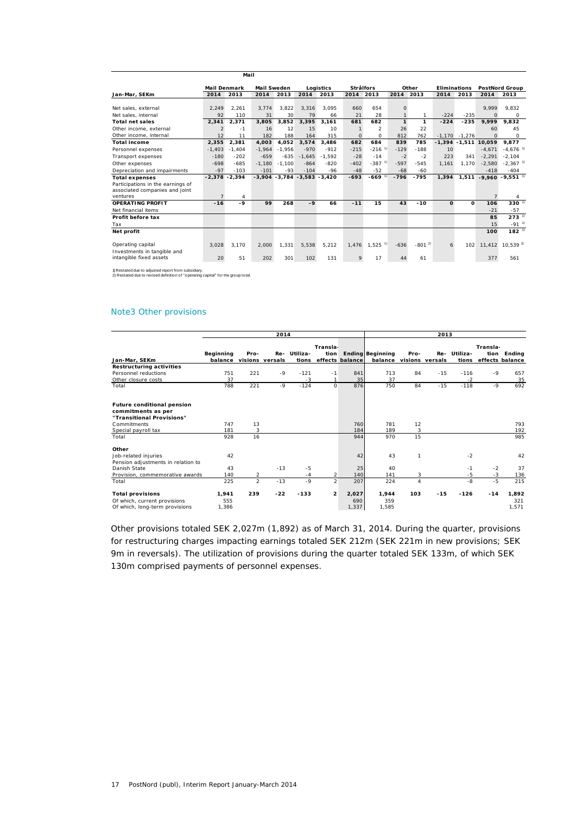|                                                            |                     | Mail           |                    |          |                                  |           |                  |                      |              |            |                     |                  |          |                                       |
|------------------------------------------------------------|---------------------|----------------|--------------------|----------|----------------------------------|-----------|------------------|----------------------|--------------|------------|---------------------|------------------|----------|---------------------------------------|
|                                                            | <b>Mail Denmark</b> |                | <b>Mail Sweden</b> |          |                                  | Logistics | <b>Strålfors</b> |                      |              | Other      | <b>Eliminations</b> |                  |          | <b>PostNord Group</b>                 |
| Jan-Mar, SEKm                                              | 2014                | 2013           | 2014               | 2013     | 2014                             | 2013      | 2014             | 2013                 | 2014         | 2013       | 2014                | 2013             | 2014     | 2013                                  |
|                                                            |                     |                |                    |          |                                  |           |                  |                      |              |            |                     |                  |          |                                       |
| Net sales, external                                        | 2,249               | 2.261          | 3.774              | 3.822    | 3.316                            | 3.095     | 660              | 654                  | $\Omega$     |            |                     |                  | 9.999    | 9.832                                 |
| Net sales, internal                                        | 92                  | 110            | 31                 | 30       | 79                               | 66        | 21               | 28                   |              | 1          | $-224$              | $-235$           | $\Omega$ | $\Omega$                              |
| <b>Total net sales</b>                                     | 2,341               | 2,371          | 3.805              | 3.852    | 3.395                            | 3.161     | 681              | 682                  | $\mathbf{1}$ | 1          | $-224$              | $-235$           | 9,999    | 9.832                                 |
| Other income, external                                     | $\mathfrak{p}$      | $-1$           | 16                 | 12       | 15                               | 10        |                  | $\overline{2}$       | 26           | 22         |                     |                  | 60       | 45                                    |
| Other income, internal                                     | 12                  | 11             | 182                | 188      | 164                              | 315       | $\Omega$         | $\circ$              | 812          | 762        |                     | $-1.170 - 1.276$ | $\Omega$ | $\circ$                               |
| <b>Total income</b>                                        | 2,355               | 2,381          | 4.003              | 4.052    | 3,574                            | 3.486     | 682              | 684                  | 839          | 785        |                     | $-1,394 - 1,511$ | 10,059   | 9,877                                 |
| Personnel expenses                                         | $-1.403$            | $-1.404$       | $-1.964$           | $-1.956$ | $-970$                           | $-912$    | $-215$           | $-216$ <sup>1)</sup> | $-129$       | $-188$     | 10 <sup>1</sup>     |                  | $-4.671$ | $-4.676$ <sup>1)</sup>                |
| Transport expenses                                         | $-180$              | $-202$         | $-659$             | $-635$   | $-1.645$                         | $-1.592$  | $-28$            | $-14$                | $-2$         | $-2$       | 223                 | 341              | $-2.291$ | $-2.104$                              |
| Other expenses                                             | $-698$              | $-685$         | $-1.180$           | $-1.100$ | $-864$                           | $-820$    | $-402$           | $-387$ <sup>1)</sup> | $-597$       | $-545$     | 1.161               | 1.170            | $-2,580$ | $-2,367$ <sup>1)</sup>                |
| Depreciation and impairments                               | $-97$               | $-103$         | $-101$             | $-93$    | $-104$                           | $-96$     | $-48$            | $-52$                | $-68$        | $-60$      |                     |                  | $-418$   | $-404$                                |
| <b>Total expenses</b><br>Participations in the earnings of | $-2,378 - 2,394$    |                |                    |          | $-3,904 - 3,784 - 3,583 - 3,420$ |           | $-693$           | $-669$ <sup>1)</sup> | $-796$       | $-795$     | 1,394               |                  |          | $1,511 - 9,960 - 9,551$ <sup>1)</sup> |
| associated companies and joint                             |                     |                |                    |          |                                  |           |                  |                      |              |            |                     |                  |          |                                       |
| ventures                                                   |                     | $\overline{4}$ |                    |          |                                  |           |                  |                      |              |            |                     |                  |          | 4                                     |
| OPERATING PROFIT                                           | $-16$               | $-9$           | 99                 | 268      | $-9$                             | 66        | $-11$            | 15                   | 43           | $-10$      | $\Omega$            | 0                | 106      | $330^{-1}$                            |
| Net financial items                                        |                     |                |                    |          |                                  |           |                  |                      |              |            |                     |                  | $-21$    | $-57$                                 |
| Profit before tax                                          |                     |                |                    |          |                                  |           |                  |                      |              |            |                     |                  | 85       | $273^{11}$                            |
| Tax                                                        |                     |                |                    |          |                                  |           |                  |                      |              |            |                     |                  | 15       | $-91^{1}$                             |
| Net profit                                                 |                     |                |                    |          |                                  |           |                  |                      |              |            |                     |                  | 100      | $182^{11}$                            |
| Operating capital                                          | 3,028               | 3.170          | 2.000              | 1,331    | 5,538                            | 5,212     | 1,476            | $1,525$ <sup>1</sup> | $-636$       | $-801^{2}$ | 6                   | 102              | 11,412   | $10,539^{2}$                          |
| Investments in tangible and<br>intangible fixed assets     | 20                  | 51             | 202                | 301      | 102                              | 131       | 9                | 17                   | 44           | 61         |                     |                  | 377      | 561                                   |
|                                                            |                     |                |                    |          |                                  |           |                  |                      |              |            |                     |                  |          |                                       |

1) Restated due to adjusted report from subsidiary. 2) Restated due to revised definition of "operating capital" for the group total.

## Note3 Other provisions

|                                                                                      | 2014                        |                |                 |                       |                |                 | 2013                                               |                |       |                   |          |                           |
|--------------------------------------------------------------------------------------|-----------------------------|----------------|-----------------|-----------------------|----------------|-----------------|----------------------------------------------------|----------------|-------|-------------------|----------|---------------------------|
|                                                                                      |                             |                |                 |                       | Transla-       |                 |                                                    |                |       |                   | Transla- |                           |
| Jan-Mar, SEKm                                                                        | <b>Beginning</b><br>balance | Pro-           | visions versals | Re- Utiliza-<br>tions | tion           | effects balance | <b>Ending Beginning</b><br>balance visions versals | Pro-           | Re-   | Utiliza-<br>tions | tion     | Endina<br>effects balance |
| Restructuring activities                                                             |                             |                |                 |                       |                |                 |                                                    |                |       |                   |          |                           |
| Personnel reductions                                                                 | 751                         | 221            | $-9$            | $-121$                | $-1$           | 841             | 713                                                | 84             | $-15$ | $-116$            | $-9$     | 657                       |
| Other closure costs                                                                  | 37                          |                |                 | $-3$                  | 1              | 35              | 37                                                 |                |       | $-2$              |          | 35                        |
| Total                                                                                | 788                         | 221            | $-9$            | $-124$                | $\Omega$       | 876             | 750                                                | 84             | $-15$ | $-118$            | $-9$     | 692                       |
| <b>Future conditional pension</b><br>commitments as per<br>"Transitional Provisions" |                             |                |                 |                       |                |                 |                                                    |                |       |                   |          |                           |
| Commitments                                                                          | 747                         | 13             |                 |                       |                | 760             | 781                                                | 12             |       |                   |          | 793                       |
| Special payroll tax                                                                  | 181                         | 3              |                 |                       |                | 184             | 189                                                | 3              |       |                   |          | 192                       |
| Total                                                                                | 928                         | 16             |                 |                       |                | 944             | 970                                                | 15             |       |                   |          | 985                       |
| Other                                                                                |                             |                |                 |                       |                |                 |                                                    |                |       |                   |          |                           |
| Job-related injuries<br>Pension adjustments in relation to                           | 42                          |                |                 |                       |                | 42              | 43                                                 | $\mathbf{1}$   |       | $-2$              |          | 42                        |
| Danish State                                                                         | 43                          |                | $-13$           | $-5$                  |                | 25              | 40                                                 |                |       | $-1$              | $-2$     | 37                        |
| Provision, commemorative awards                                                      | 140                         | 2              |                 | $-4$                  | $\overline{2}$ | 140             | 141                                                | 3              |       | $-5$              | $-3$     | 136                       |
| Total                                                                                | 225                         | $\overline{a}$ | $-13$           | $-9$                  | $\overline{2}$ | 207             | 224                                                | $\overline{4}$ |       | $-8$              | $-5$     | 215                       |
| <b>Total provisions</b>                                                              | 1,941                       | 239            | $-22$           | $-133$                | $\overline{2}$ | 2,027           | 1.944                                              | 103            | $-15$ | $-126$            | $-14$    | 1,892                     |
| Of which, current provisions                                                         | 555                         |                |                 |                       |                | 690             | 359                                                |                |       |                   |          | 321                       |
| Of which, long-term provisions                                                       | 1,386                       |                |                 |                       |                | 1,337           | 1,585                                              |                |       |                   |          | 1,571                     |

Other provisions totaled SEK 2,027m (1,892) as of March 31, 2014. During the quarter, provisions for restructuring charges impacting earnings totaled SEK 212m (SEK 221m in new provisions; SEK 9m in reversals). The utilization of provisions during the quarter totaled SEK 133m, of which SEK 130m comprised payments of personnel expenses.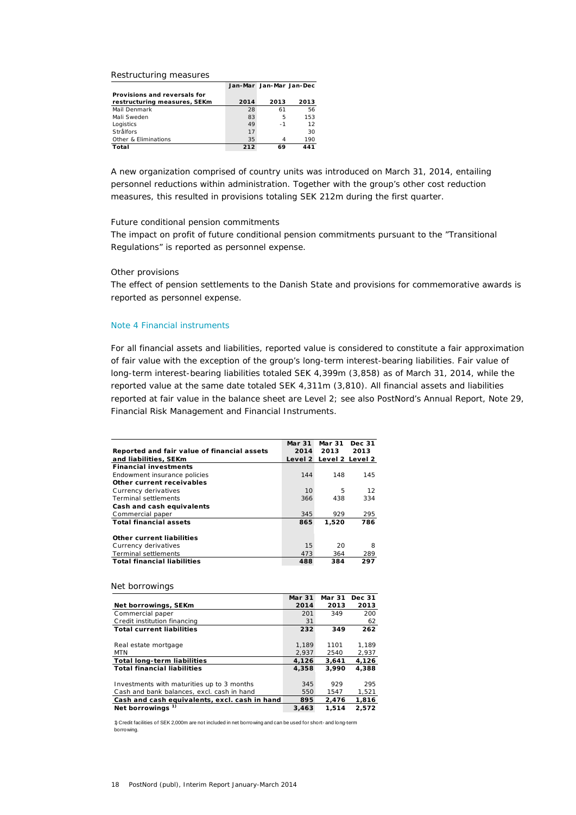#### *Restructuring measures*

|     |      | 2013                            |
|-----|------|---------------------------------|
| 28  | 61   | 56                              |
| 83  | 5    | 153                             |
| 49  | $-1$ | 12                              |
| 17  |      | 30                              |
| 35  |      | 190                             |
| 212 | 69   | 441                             |
|     | 2014 | Jan-Mar Jan-Mar Jan-Dec<br>2013 |

A new organization comprised of country units was introduced on March 31, 2014, entailing personnel reductions within administration. Together with the group's other cost reduction measures, this resulted in provisions totaling SEK 212m during the first quarter.

## *Future conditional pension commitments*

The impact on profit of future conditional pension commitments pursuant to the "Transitional Regulations" is reported as personnel expense.

## *Other provisions*

The effect of pension settlements to the Danish State and provisions for commemorative awards is reported as personnel expense.

### Note 4 Financial instruments

For all financial assets and liabilities, reported value is considered to constitute a fair approximation of fair value with the exception of the group's long-term interest-bearing liabilities. Fair value of long-term interest-bearing liabilities totaled SEK 4,399m (3,858) as of March 31, 2014, while the reported value at the same date totaled SEK 4,311m (3,810). All financial assets and liabilities reported at fair value in the balance sheet are Level 2; see also PostNord's Annual Report, Note 29, Financial Risk Management and Financial Instruments.

|                                             | Mar 31 | Mar 31                  | Dec 31 |
|---------------------------------------------|--------|-------------------------|--------|
| Reported and fair value of financial assets | 2014   | 2013                    | 2013   |
| and liabilities, SEKm                       |        | Level 2 Level 2 Level 2 |        |
| <b>Financial investments</b>                |        |                         |        |
| Endowment insurance policies                | 144    | 148                     | 145    |
| Other current receivables                   |        |                         |        |
| Currency derivatives                        | 10     | 5                       | 12     |
| <b>Terminal settlements</b>                 | 366    | 438                     | 334    |
| Cash and cash equivalents                   |        |                         |        |
| Commercial paper                            | 345    | 929                     | 295    |
| <b>Total financial assets</b>               | 865    | 1.520                   | 786    |
|                                             |        |                         |        |
| Other current liabilities                   |        |                         |        |
| Currency derivatives                        | 15     | 20                      | 8      |
| <b>Terminal settlements</b>                 | 473    | 364                     | 289    |
| <b>Total financial liabilities</b>          | 488    | 384                     | 297    |
|                                             |        |                         |        |

#### *Net borrowings*

|                                               | Mar 31 | Mar 31 | Dec 31 |
|-----------------------------------------------|--------|--------|--------|
| Net borrowings, SEKm                          | 2014   | 2013   | 2013   |
| Commercial paper                              | 201    | 349    | 200    |
| Credit institution financing                  | 31     |        | 62     |
| <b>Total current liabilities</b>              | 232    | 349    | 262    |
|                                               |        |        |        |
| Real estate mortgage                          | 1.189  | 1101   | 1.189  |
| MTN                                           | 2,937  | 2540   | 2,937  |
| <b>Total long-term liabilities</b>            | 4,126  | 3.641  | 4,126  |
| <b>Total financial liabilities</b>            | 4,358  | 3,990  | 4,388  |
|                                               |        |        |        |
| Investments with maturities up to 3 months    | 345    | 929    | 295    |
| Cash and bank balances, excl. cash in hand    | 550    | 1547   | 1,521  |
| Cash and cash equivalents, excl. cash in hand | 895    | 2,476  | 1,816  |
| <b>Net borrowings</b>                         | 3,463  | 1.514  | 2,572  |

1) Credit facilities of SEK 2,000m are not included in net borrowing and can be used for short- and long-term borrowing.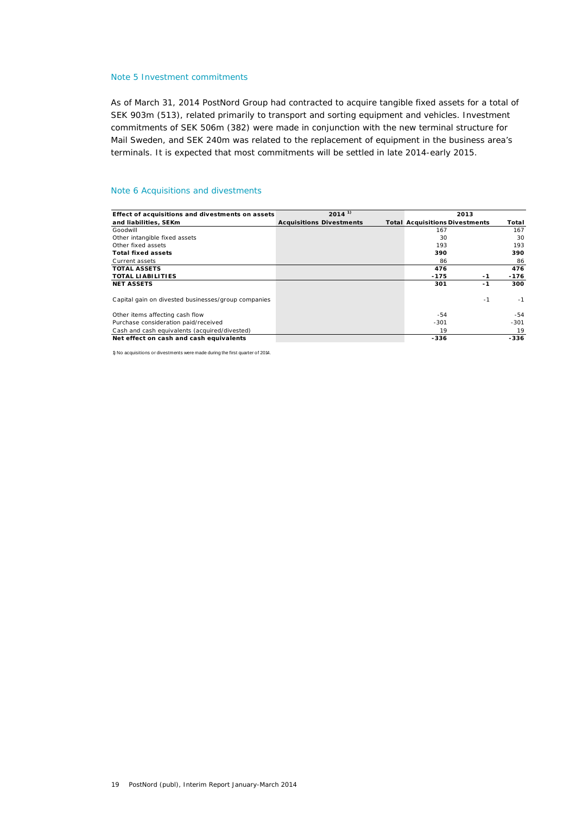## Note 5 Investment commitments

As of March 31, 2014 PostNord Group had contracted to acquire tangible fixed assets for a total of SEK 903m (513), related primarily to transport and sorting equipment and vehicles. Investment commitments of SEK 506m (382) were made in conjunction with the new terminal structure for Mail Sweden, and SEK 240m was related to the replacement of equipment in the business area's terminals. It is expected that most commitments will be settled in late 2014-early 2015.

## Note 6 Acquisitions and divestments

| Effect of acquisitions and divestments on assets    | $2014$ <sup>1)</sup>            | 2013                                  |        |
|-----------------------------------------------------|---------------------------------|---------------------------------------|--------|
| and liabilities, SEKm                               | <b>Acquisitions Divestments</b> | <b>Total Acquisitions Divestments</b> | Total  |
| Goodwill                                            |                                 | 167                                   | 167    |
| Other intangible fixed assets                       |                                 | 30                                    | 30     |
| Other fixed assets                                  |                                 | 193                                   | 193    |
| <b>Total fixed assets</b>                           |                                 | 390                                   | 390    |
| Current assets                                      |                                 | 86                                    | 86     |
| <b>TOTAL ASSETS</b>                                 |                                 | 476                                   | 476    |
| <b>TOTAL LIABILITIES</b>                            |                                 | $-175$<br>-1                          | $-176$ |
| <b>NET ASSETS</b>                                   |                                 | 301<br>$-1$                           | 300    |
| Capital gain on divested businesses/group companies |                                 | $-1$                                  | $-1$   |
| Other items affecting cash flow                     |                                 | -54                                   | -54    |
| Purchase consideration paid/received                |                                 | $-301$                                | $-301$ |
| Cash and cash equivalents (acquired/divested)       |                                 | 19                                    | 19     |
| Net effect on cash and cash equivalents             |                                 | -336                                  | -336   |

1) No acquisitions or divestments were made during the first quarter of 2014.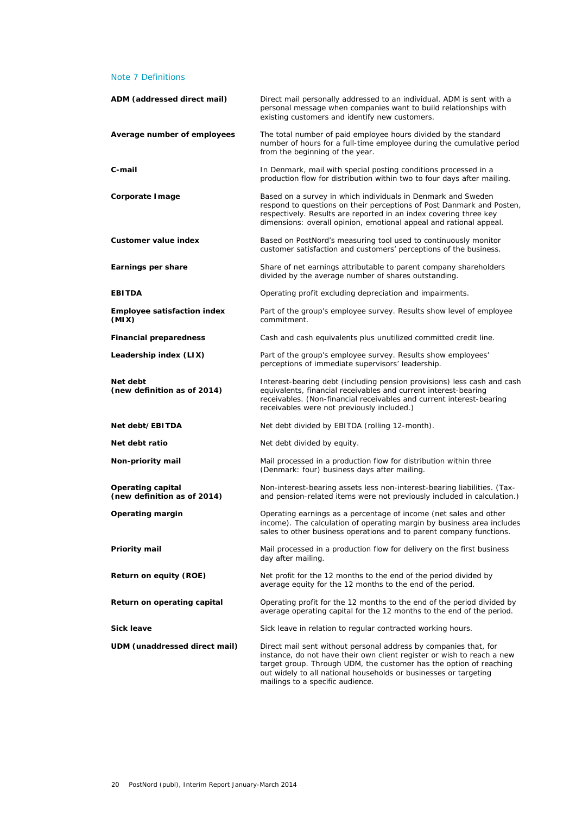## Note 7 Definitions

| ADM (addressed direct mail)                             | Direct mail personally addressed to an individual. ADM is sent with a<br>personal message when companies want to build relationships with<br>existing customers and identify new customers.                                                                                                                              |
|---------------------------------------------------------|--------------------------------------------------------------------------------------------------------------------------------------------------------------------------------------------------------------------------------------------------------------------------------------------------------------------------|
| Average number of employees                             | The total number of paid employee hours divided by the standard<br>number of hours for a full-time employee during the cumulative period<br>from the beginning of the year.                                                                                                                                              |
| C-mail                                                  | In Denmark, mail with special posting conditions processed in a<br>production flow for distribution within two to four days after mailing.                                                                                                                                                                               |
| Corporate I mage                                        | Based on a survey in which individuals in Denmark and Sweden<br>respond to questions on their perceptions of Post Danmark and Posten,<br>respectively. Results are reported in an index covering three key<br>dimensions: overall opinion, emotional appeal and rational appeal.                                         |
| Customer value index                                    | Based on PostNord's measuring tool used to continuously monitor<br>customer satisfaction and customers' perceptions of the business.                                                                                                                                                                                     |
| Earnings per share                                      | Share of net earnings attributable to parent company shareholders<br>divided by the average number of shares outstanding.                                                                                                                                                                                                |
| <b>EBITDA</b>                                           | Operating profit excluding depreciation and impairments.                                                                                                                                                                                                                                                                 |
| <b>Employee satisfaction index</b><br>(MIX)             | Part of the group's employee survey. Results show level of employee<br>commitment.                                                                                                                                                                                                                                       |
| <b>Financial preparedness</b>                           | Cash and cash equivalents plus unutilized committed credit line.                                                                                                                                                                                                                                                         |
| Leadership index (LIX)                                  | Part of the group's employee survey. Results show employees'<br>perceptions of immediate supervisors' leadership.                                                                                                                                                                                                        |
| Net debt<br>(new definition as of 2014)                 | Interest-bearing debt (including pension provisions) less cash and cash<br>equivalents, financial receivables and current interest-bearing<br>receivables. (Non-financial receivables and current interest-bearing<br>receivables were not previously included.)                                                         |
| Net debt/EBITDA                                         | Net debt divided by EBITDA (rolling 12-month).                                                                                                                                                                                                                                                                           |
| Net debt ratio                                          | Net debt divided by equity.                                                                                                                                                                                                                                                                                              |
| Non-priority mail                                       | Mail processed in a production flow for distribution within three<br>(Denmark: four) business days after mailing.                                                                                                                                                                                                        |
| <b>Operating capital</b><br>(new definition as of 2014) | Non-interest-bearing assets less non-interest-bearing liabilities. (Tax-<br>and pension-related items were not previously included in calculation.)                                                                                                                                                                      |
| Operating margin                                        | Operating earnings as a percentage of income (net sales and other<br>income). The calculation of operating margin by business area includes<br>sales to other business operations and to parent company functions.                                                                                                       |
| Priority mail                                           | Mail processed in a production flow for delivery on the first business<br>day after mailing.                                                                                                                                                                                                                             |
| Return on equity (ROE)                                  | Net profit for the 12 months to the end of the period divided by<br>average equity for the 12 months to the end of the period.                                                                                                                                                                                           |
| Return on operating capital                             | Operating profit for the 12 months to the end of the period divided by<br>average operating capital for the 12 months to the end of the period.                                                                                                                                                                          |
| <b>Sick leave</b>                                       | Sick leave in relation to regular contracted working hours.                                                                                                                                                                                                                                                              |
| UDM (unaddressed direct mail)                           | Direct mail sent without personal address by companies that, for<br>instance, do not have their own client register or wish to reach a new<br>target group. Through UDM, the customer has the option of reaching<br>out widely to all national households or businesses or targeting<br>mailings to a specific audience. |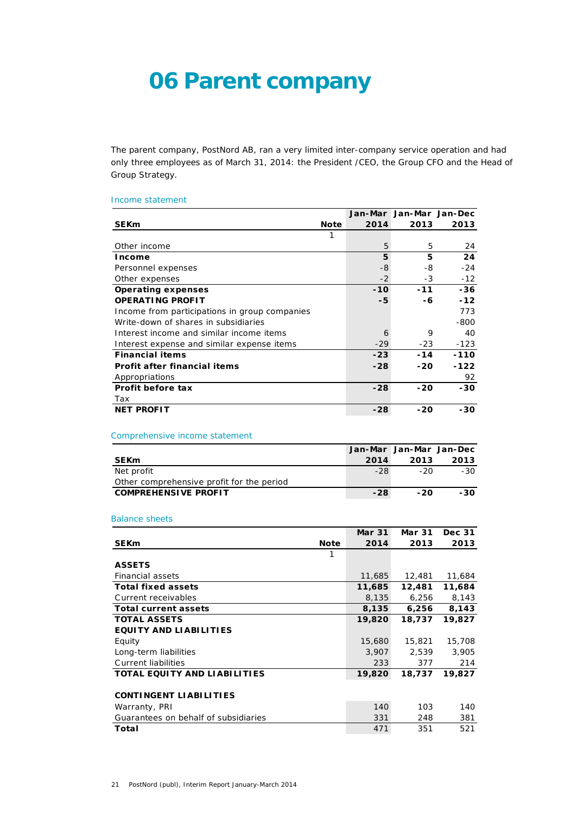## **06 Parent company**

The parent company, PostNord AB, ran a very limited inter-company service operation and had only three employees as of March 31, 2014: the President /CEO, the Group CFO and the Head of Group Strategy.

### Income statement

|                                               |             |       | Jan-Mar Jan-Mar Jan-Dec |        |
|-----------------------------------------------|-------------|-------|-------------------------|--------|
| <b>SEKm</b>                                   | <b>Note</b> | 2014  | 2013                    | 2013   |
|                                               |             |       |                         |        |
| Other income                                  |             | 5     | 5                       | 24     |
| Income                                        |             | 5     | 5                       | 24     |
| Personnel expenses                            |             | $-8$  | -8                      | $-24$  |
| Other expenses                                |             | $-2$  | $-3$                    | $-12$  |
| <b>Operating expenses</b>                     |             | $-10$ | $-11$                   | $-36$  |
| <b>OPERATING PROFIT</b>                       |             | -5    | -6                      | $-12$  |
| Income from participations in group companies |             |       |                         | 773    |
| Write-down of shares in subsidiaries          |             |       |                         | $-800$ |
| Interest income and similar income items      |             | 6     | 9                       | 40     |
| Interest expense and similar expense items    |             | $-29$ | $-23$                   | $-123$ |
| <b>Financial items</b>                        |             | $-23$ | $-14$                   | $-110$ |
| <b>Profit after financial items</b>           |             | $-28$ | $-20$                   | $-122$ |
| Appropriations                                |             |       |                         | 92     |
| Profit before tax                             |             | $-28$ | $-20$                   | $-30$  |
| Tax                                           |             |       |                         |        |
| <b>NET PROFIT</b>                             |             | $-28$ | -20                     | -30    |

## Comprehensive income statement

|                                           |       | Jan-Mar Jan-Mar Jan-Dec |      |
|-------------------------------------------|-------|-------------------------|------|
| <b>SEK<sub>m</sub></b>                    | 2014  | 2013                    | 2013 |
| Net profit                                | $-28$ | -20                     | -30  |
| Other comprehensive profit for the period |       |                         |      |
| <b>COMPREHENSIVE PROFIT</b>               | $-28$ | $-20$                   | -30  |

## Balance sheets

|                                      | <b>Mar 31</b> | <b>Mar 31</b> | Dec 31 |
|--------------------------------------|---------------|---------------|--------|
| <b>SEKm</b><br><b>Note</b>           | 2014          | 2013          | 2013   |
| 1                                    |               |               |        |
| <b>ASSETS</b>                        |               |               |        |
| <b>Financial assets</b>              | 11,685        | 12,481        | 11,684 |
| <b>Total fixed assets</b>            | 11,685        | 12,481        | 11,684 |
| Current receivables                  | 8,135         | 6,256         | 8,143  |
| <b>Total current assets</b>          | 8,135         | 6,256         | 8,143  |
| <b>TOTAL ASSETS</b>                  | 19,820        | 18,737        | 19,827 |
| <b>EQUITY AND LIABILITIES</b>        |               |               |        |
| Equity                               | 15,680        | 15,821        | 15,708 |
| Long-term liabilities                | 3,907         | 2,539         | 3,905  |
| Current liabilities                  | 233           | 377           | 214    |
| <b>TOTAL EQUITY AND LIABILITIES</b>  | 19,820        | 18,737        | 19,827 |
|                                      |               |               |        |
| <b>CONTINGENT LIABILITIES</b>        |               |               |        |
| Warranty, PRI                        | 140           | 103           | 140    |
| Guarantees on behalf of subsidiaries | 331           | 248           | 381    |
| Total                                | 471           | 351           | 521    |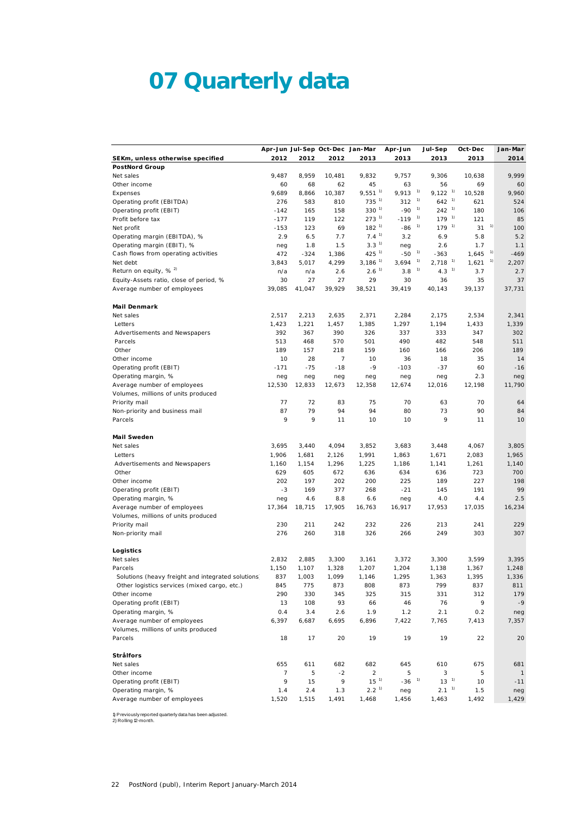# **07 Quarterly data**

|                                                    |                |        |        | Apr-Jun Jul-Sep Oct-Dec Jan-Mar | Apr-Jun             | Jul-Sep                     | Oct-Dec | Jan-Mar      |
|----------------------------------------------------|----------------|--------|--------|---------------------------------|---------------------|-----------------------------|---------|--------------|
| SEKm, unless otherwise specified                   | 2012           | 2012   | 2012   | 2013                            | 2013                | 2013                        | 2013    | 2014         |
| <b>PostNord Group</b>                              |                |        |        |                                 |                     |                             |         |              |
| Net sales                                          | 9,487          | 8,959  | 10.481 | 9,832                           | 9,757               | 9,306                       | 10,638  | 9,999        |
| Other income                                       | 60             | 68     | 62     | 45                              | 63                  | 56                          | 69      | 60           |
| Expenses                                           | 9,689          | 8,866  | 10,387 | $9,551^{1}$                     | 9,913               | 1)<br>$9,122^{1}$           | 10,528  | 9,960        |
| Operating profit (EBITDA)                          | 276            | 583    | 810    | $735^{11}$                      | 312                 | 1)<br>$642^{1}$             | 621     | 524          |
| Operating profit (EBIT)                            | $-142$         | 165    | 158    | $330^{1}$                       | $-90$               | 1)<br>$242^{1}$             | 180     | 106          |
| Profit before tax                                  | $-177$         | 119    | 122    | $273^{11}$                      | $-119$              | 1)<br>$179^{1}$             | 121     | 85           |
| Net profit                                         | $-153$         | 123    | 69     | $182^{1}$                       | $-86$               | 1)<br>$179-1$               | 31      | 1)<br>100    |
| Operating margin (EBITDA), %                       | 2.9            | 6.5    | 7.7    | 7.4 <sup>1</sup>                | 3.2                 | 6.9                         | 5.8     | 5.2          |
| Operating margin (EBIT), %                         | neg            | 1.8    | 1.5    | 3.3 <sup>1</sup>                | neg                 | 2.6                         | 1.7     | 1.1          |
| Cash flows from operating activities               | 472            | -324   | 1,386  | $425^{11}$                      | -50                 | 1)<br>$-363$                | 1,645   | 1)<br>$-469$ |
| Net debt                                           | 3,843          | 5,017  | 4,299  | $3,186$ <sup>1)</sup>           | 3,694               | 1)<br>$2,718$ <sup>1)</sup> | 1,621   | 1)<br>2,207  |
| Return on equity, $% ^{2}$                         | n/a            | n/a    | 2.6    | 2.6 <sup>1</sup>                | 3.8                 | 1)<br>$4.3-1$               | 3.7     | 2.7          |
| Equity-Assets ratio, close of period, %            | 30             | 27     | 27     | 29                              | 30                  | 36                          | 35      | 37           |
| Average number of employees                        | 39,085         | 41,047 | 39,929 | 38,521                          | 39,419              | 40,143                      | 39,137  | 37,731       |
| <b>Mail Denmark</b>                                |                |        |        |                                 |                     |                             |         |              |
| Net sales                                          | 2,517          | 2,213  | 2,635  | 2,371                           | 2,284               | 2,175                       | 2,534   | 2,341        |
| Letters                                            | 1,423          | 1,221  | 1,457  | 1,385                           | 1,297               | 1,194                       | 1,433   | 1,339        |
| Advertisements and Newspapers                      | 392            | 367    | 390    | 326                             | 337                 | 333                         | 347     | 302          |
| Parcels                                            | 513            | 468    | 570    | 501                             | 490                 | 482                         | 548     | 511          |
| Other                                              | 189            | 157    | 218    | 159                             | 160                 | 166                         | 206     | 189          |
| Other income                                       | 10             | 28     | 7      | 10                              | 36                  | 18                          | 35      | 14           |
| Operating profit (EBIT)                            | $-171$         | $-75$  | $-18$  | $-9$                            | $-103$              | $-37$                       | 60      | $-16$        |
| Operating margin, %                                | neg            | neg    | neg    | neg                             | neg                 | neg                         | 2.3     | neg          |
| Average number of employees                        | 12,530         | 12,833 | 12,673 | 12,358                          | 12,674              | 12,016                      | 12,198  | 11,790       |
| Volumes, millions of units produced                |                |        |        |                                 |                     |                             |         |              |
| Priority mail                                      | 77             | 72     | 83     | 75                              | 70                  | 63                          | 70      | 64           |
| Non-priority and business mail                     | 87             | 79     | 94     | 94                              | 80                  | 73                          | 90      | 84           |
| Parcels                                            | 9              | 9      | 11     | 10                              | 10                  | 9                           | 11      | 10           |
| Mail Sweden                                        |                |        |        |                                 |                     |                             |         |              |
| Net sales                                          | 3,695          | 3,440  | 4,094  | 3,852                           | 3,683               | 3,448                       | 4,067   | 3,805        |
| Letters                                            | 1,906          | 1,681  | 2,126  | 1,991                           | 1,863               | 1,671                       | 2,083   | 1,965        |
| Advertisements and Newspapers                      | 1,160          | 1,154  | 1,296  | 1,225                           | 1,186               | 1,141                       | 1,261   | 1,140        |
| Other                                              | 629            | 605    | 672    | 636                             | 634                 | 636                         | 723     | 700          |
| Other income                                       | 202            | 197    | 202    | 200                             | 225                 | 189                         | 227     | 198          |
| Operating profit (EBIT)                            | -3             | 169    | 377    | 268                             | $-21$               | 145                         | 191     | 99           |
| Operating margin, %                                | neg            | 4.6    | 8.8    | 6.6                             | neg                 | 4.0                         | 4.4     | 2.5          |
| Average number of employees                        | 17,364         | 18,715 | 17,905 | 16,763                          | 16,917              | 17,953                      | 17,035  | 16,234       |
| Volumes, millions of units produced                |                |        |        |                                 |                     |                             |         |              |
| Priority mail                                      | 230            | 211    | 242    | 232                             | 226                 | 213                         | 241     | 229          |
| Non-priority mail                                  | 276            | 260    | 318    | 326                             | 266                 | 249                         | 303     | 307          |
| Logistics                                          |                |        |        |                                 |                     |                             |         |              |
| Net sales                                          | 2,832          | 2,885  | 3,300  | 3,161                           | 3,372               | 3,300                       | 3,599   | 3,395        |
| Parcels                                            | 1,150          | 1,107  | 1,328  | 1,207                           | 1,204               | 1,138                       | 1,367   | 1,248        |
| Solutions (heavy freight and integrated solutions, | 837            | 1,003  | 1,099  | 1,146                           | 1,295               | 1,363                       | 1,395   | 1,336        |
| Other logistics services (mixed cargo, etc.)       | 845            | 775    | 873    | 808                             | 873                 | 799                         | 837     | 811          |
| Other income                                       | 290            | 330    | 345    | 325                             | 315                 | 331                         | 312     | 179          |
| Operating profit (EBIT)                            | 13             | 108    | 93     | 66                              | 46                  | 76                          | 9       | $-9$         |
| Operating margin, %                                | 0.4            | 3.4    | 2.6    | 1.9                             | 1.2                 | 2.1                         | 0.2     | neg          |
| Average number of employees                        | 6,397          | 6,687  | 6,695  | 6,896                           | 7,422               | 7,765                       | 7,413   | 7,357        |
| Volumes, millions of units produced                |                |        |        |                                 |                     |                             |         |              |
| Parcels                                            | 18             | 17     | 20     | 19                              | 19                  | 19                          | 22      | 20           |
| Strålfors                                          |                |        |        |                                 |                     |                             |         |              |
| Net sales                                          | 655            | 611    | 682    | 682                             | 645                 | 610                         | 675     | 681          |
| Other income                                       | $\overline{7}$ | 5      | $-2$   | 2                               | 5                   | 3                           | 5       | -1           |
| Operating profit (EBIT)                            | 9              | 15     | 9      | $15^{-1}$                       | $-36$ <sup>1)</sup> | $13-1$                      | 10      | $-11$        |
| Operating margin, %                                | 1.4            | 2.4    | 1.3    | 2.2 <sup>1</sup>                | neg                 | $2.1-1$                     | 1.5     | neg          |
| Average number of employees                        | 1,520          | 1,515  | 1,491  | 1,468                           | 1,456               | 1,463                       | 1,492   | 1,429        |

1) Previously reported quarterly data has been adjusted. 2) Rolling 12-month.